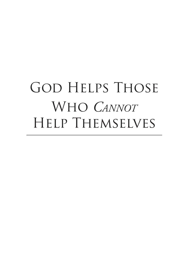# GOD HELPS THOSE Who *Cannot* Help Themselves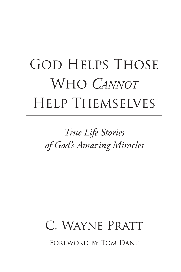# GOD HELPS THOSE Who *Cannot* Help Themselves

# *True Life Stories of God's Amazing Miracles*

# C. Wayne Pratt Foreword by Tom Dant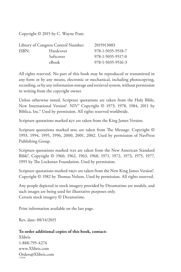Copyright © 2015 by C. Wayne Pratt.

| Library of Congress Control Number: |           | 2015913083        |
|-------------------------------------|-----------|-------------------|
| ISBN:                               | Hardcover | 978-1-5035-9518-7 |
|                                     | Softcover | 978-1-5035-9517-0 |
|                                     | eBook     | 978-1-5035-9516-3 |

All rights reserved. No part of this book may be reproduced or transmitted in any form or by any means, electronic or mechanical, including photocopying, recording, or by any information storage and retrieval system, without permission in writing from the copyright owner.

Unless otherwise noted, Scripture quotations are taken from the Holy Bible, New International Version®. NIV® Copyright © 1973, 1978, 1984, 2011 by Biblica, Inc.® Used by permission. All rights reserved worldwide.

Scripture quotations marked kjv are taken from the King James Version.

Scripture quotations marked msg are taken from The Message. Copyright © 1993, 1994, 1995, 1996, 2000, 2001, 2002. Used by permission of NavPress Publishing Group.

Scripture quotations marked nas are taken from the New American Standard Bible®, Copyright © 1960, 1962, 1963, 1968, 1971, 1972, 1973, 1975, 1977, 1995 by The Lockman Foundation. Used by permission.

Scripture quotations marked NKJV are taken from the New King James Version<sup>®</sup>. Copyright © 1982 by Thomas Nelson. Used by permission. All rights reserved.

Any people depicted in stock imagery provided by Dreamstime are models, and such images are being used for illustrative purposes only. Certain stock imagery © Dreamstime.

Print information available on the last page.

Rev. date: 08/14/2015

#### **To order additional copies of this book, contact:**

Xlibris 1-888-795-4274 www.Xlibris.com Orders@Xlibris.com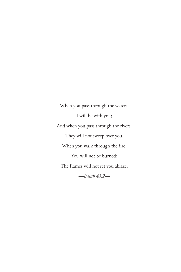When you pass through the waters, I will be with you; And when you pass through the rivers, They will not sweep over you. When you walk through the fire, You will not be burned; The flames will not set you ablaze. *—Isaiah 43:2—*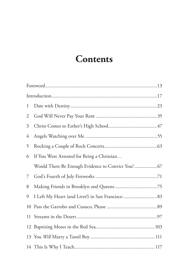## **Contents**

| $\mathbf{1}$ |                                            |  |
|--------------|--------------------------------------------|--|
| 2            |                                            |  |
| 3            |                                            |  |
| 4            |                                            |  |
| 5            |                                            |  |
| 6            | If You Were Arrested for Being a Christian |  |
|              |                                            |  |
| 7            |                                            |  |
| 8            |                                            |  |
| 9            |                                            |  |
| 10           |                                            |  |
| 11           |                                            |  |
|              |                                            |  |
|              |                                            |  |
|              |                                            |  |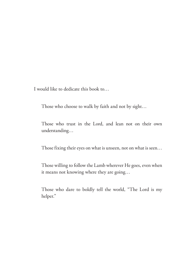I would like to dedicate this book to…

Those who choose to walk by faith and not by sight…

Those who trust in the Lord, and lean not on their own understanding…

Those fixing their eyes on what is unseen, not on what is seen…

Those willing to follow the Lamb wherever He goes, even when it means not knowing where they are going…

Those who dare to boldly tell the world, "The Lord is my helper."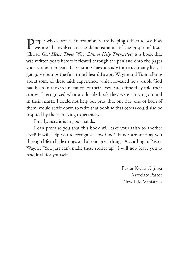People who share their testimonies are helping others to see how we are all involved in the demonstration of the gospel of Jesus  $\mathbb{C}^1$  in  $\mathbb{C}^1$  in  $\mathbb{C}^1$  in  $\mathbb{C}^1$  in  $\mathbb{C}^1$  in  $\mathbb{C}^1$  in  $\mathbb{C}^$ Christ. *God Helps Those Who Cannot Help Themselves* is a book that was written years before it flowed through the pen and onto the pages you are about to read. These stories have already impacted many lives. I got goose bumps the first time I heard Pastors Wayne and Tom talking about some of these faith experiences which revealed how visible God had been in the circumstances of their lives. Each time they told their stories, I recognized what a valuable book they were carrying around in their hearts. I could not help but pray that one day, one or both of them, would settle down to write that book so that others could also be inspired by their amazing experiences.

Finally, here it is in your hands.

I can promise you that this book will take your faith to another level! It will help you to recognize how God's hands are steering you through life in little things and also in great things. According to Pastor Wayne, "You just can't make these stories up!" I will now leave you to read it all for yourself.

> Pastor Kwesi Oginga Associate Pastor New Life Ministries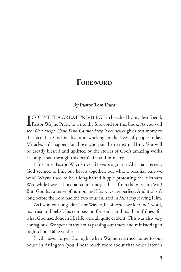### **FOREWORD**

#### **By Pastor Tom Dant**

**I COUNT IT A GREAT PRIVILEGE to be asked by my dear friend,**<br>Pastor Wayne Pratt, to write the foreword for this book. As you will see, *God Helps Those Who Cannot Help Themselves* gives testimony to the fact that God is alive and working in the lives of people today. Miracles still happen for those who put their trust in Him. You will be greatly blessed and uplifted by the stories of God's amazing works accomplished through this man's life and ministry.

I first met Pastor Wayne over 41 years ago at a Christian retreat. God seemed to knit our hearts together, but what a peculiar pair we were! Wayne used to be a long-haired hippie protesting the Vietnam War, while I was a short-haired marine just back from the Vietnam War! But, God has a sense of humor, and His ways are perfect. And it wasn't long before the Lord had the two of us enlisted in *His* army serving Him.

As I worked alongside Pastor Wayne, his sincere love for God's word, his trust and belief, his compassion for souls, and his thankfulness for what God had done in His life were all quite evident. This was also very contagious. We spent many hours passing out tracts and ministering in high school Bible studies.

I will never forget the night when Wayne returned home to our house in Arlington (you'll hear much more about that house later in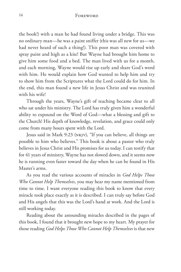#### 14 Foreword

the book!) with a man he had found living under a bridge. This was no ordinary man—he was a paint sniffer (this was all new for us—we had never heard of such a thing!). This poor man was covered with spray paint and high as a kite! But Wayne had brought him home to give him some food and a bed. The man lived with us for a month, and each morning, Wayne would rise up early and share God's word with him. He would explain how God wanted to help him and try to show him from the Scriptures what the Lord could do for him. In the end, this man found a new life in Jesus Christ and was reunited with his wife!

Through the years, Wayne's gift of teaching became clear to all who sat under his ministry. The Lord has truly given him a wonderful ability to expound on the Word of God—what a blessing and gift to the Church! His depth of knowledge, revelation, and grace could only come from many hours spent with the Lord.

Jesus said in Mark 9:23 (nkjv), "If you can believe, all things are possible to him who believes." This book is about a pastor who truly believes in Jesus Christ and His promises for us today. I can testify that for 41 years of ministry, Wayne has not slowed down, and it seems now he is running even faster toward the day when he can be found in His Master's arms.

As you read the various accounts of miracles in *God Helps Those Who Cannot Help Themselves*, you may hear my name mentioned from time to time. I want everyone reading this book to know that every miracle took place exactly as it is described. I can truly say before God and His angels that this was the Lord's hand at work. And the Lord is still working today.

Reading about the astounding miracles described in the pages of this book, I found that it brought new hope to my heart. My prayer for those reading *God Helps Those Who Cannot Help Themselves* is that new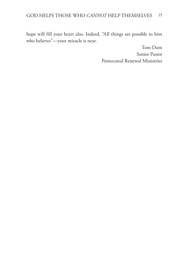hope will fill your heart also. Indeed, "All things are possible to him who believes"—your miracle is near.

> Tom Dant Senior Pastor Pentecostal Renewal Ministries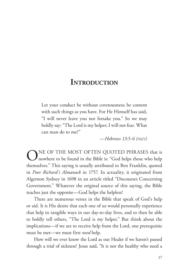### **INTRODUCTION**

Let your conduct be without covetousness; be content with such things as you have. For He Himself has said, "I will never leave you nor forsake you." So we may boldly say: "The Lord is my helper; I will not fear. What can man do to me?"

*—Hebrews 13:5-6 (nkjv)*

ONE OF THE MOST OFTEN QUOTED PHRASES that is<br>nowhere to be found in the Bible is: "God helps those who help themselves." This saying is usually attributed to Ben Franklin, quoted in *Poor Richard's Almanack* in 1757. In actuality, it originated from Algernon Sydney in 1698 in an article titled "Discourses Concerning Government." Whatever the original source of this saying, the Bible teaches just the opposite—God helps the helpless!

There are numerous verses in the Bible that speak of God's help or aid. It is His desire that each one of us would personally experience that help in tangible ways in our day-to-day lives, and to then be able to boldly tell others, "The Lord is my helper." But think about the implications—if we are to receive help from the Lord, one prerequisite must be met—we must first *need* help.

How will we ever know the Lord as our Healer if we haven't passed through a trial of sickness? Jesus said, "It is not the healthy who need a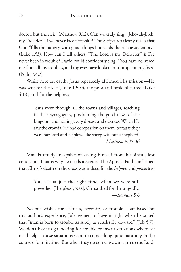doctor, but the sick" (Matthew 9:12). Can we truly sing, "Jehovah-Jireh, my Provider," if we never face necessity? The Scriptures clearly teach that God "fills the hungry with good things but sends the rich away empty" (Luke 1:53). How can I tell others, "The Lord is my Deliverer," if I've never been in trouble? David could confidently sing, "You have delivered me from all my troubles, and my eyes have looked in triumph on my foes" (Psalm 54:7).

While here on earth, Jesus repeatedly affirmed His mission—He was sent for the lost (Luke 19:10), the poor and brokenhearted (Luke 4:18), and for the helpless:

> Jesus went through all the towns and villages, teaching in their synagogues, proclaiming the good news of the kingdom and healing every disease and sickness. When He saw the crowds, He had compassion on them, because they were harassed and helpless, like sheep without a shepherd. *—Matthew 9:35-36*

Man is utterly incapable of saving himself from his sinful, lost condition. That is why he needs a Savior. The Apostle Paul confirmed that Christ's death on the cross was indeed for the *helpless* and *powerless*:

> You see, at just the right time, when we were still powerless ["helpless", nas], Christ died for the ungodly. *—Romans 5:6*

No one wishes for sickness, necessity or trouble—but based on this author's experience, Job seemed to have it right when he stated that "man is born to trouble as surely as sparks fly upward" (Job 5:7). We don't have to go looking for trouble or invent situations where we need help—those situations seem to come along quite naturally in the course of our lifetime. But when they do come, we can turn to the Lord,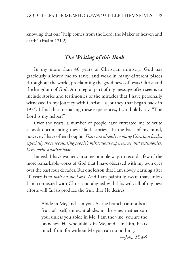knowing that our "help comes from the Lord, the Maker of heaven and earth" (Psalm 121:2).

#### *The Writing of this Book*

In my more than 40 years of Christian ministry, God has graciously allowed me to travel and work in many different places throughout the world, proclaiming the good news of Jesus Christ and the kingdom of God. An integral part of my message often seems to include stories and testimonies of the miracles that I have personally witnessed in my journey with Christ—a journey that began back in 1974. I find that in sharing these experiences, I can boldly say, "The Lord is my helper!"

Over the years, a number of people have entreated me to write a book documenting these "faith stories." In the back of my mind, however, I have often thought: *There are already so many Christian books, especially those recounting people's miraculous experiences and testimonies. Why write another book?*

Indeed, I have wanted, in some humble way, to record a few of the more remarkable works of God that I have observed with my own eyes over the past four decades. But one lesson that I am slowly learning after 40 years is to *wait on the Lord*. And I am painfully aware that, unless I am connected with Christ and aligned with His will, all of my best efforts will fail to produce the fruit that He desires:

> Abide in Me, and I in you. As the branch cannot bear fruit of itself, unless it abides in the vine, neither can you, unless you abide in Me. I am the vine, you are the branches. He who abides in Me, and I in him, bears much fruit; for without Me you can do nothing.

> > *—John 15:4-5*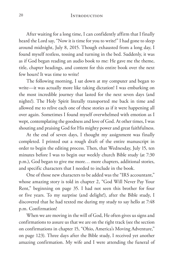#### 20 INTRODUCTION

After waiting for a long time, I can confidently affirm that I finally heard the Lord say, "Now it is time for you to write!" I had gone to sleep around midnight, July 8, 2015. Though exhausted from a long day, I found myself restless, tossing and turning in the bed. Suddenly, it was as if God began reading an audio book to me: He gave me the theme, title, chapter headings, and content for this entire book over the next few hours! It was time to write!

The following morning, I sat down at my computer and began to write—it was actually more like taking dictation! I was embarking on the most incredible journey that lasted for the next seven days (and nights!). The Holy Spirit literally transported me back in time and allowed me to relive each one of these stories as if it were happening all over again. Sometimes I found myself overwhelmed with emotion as I wept, contemplating the goodness and love of God. At other times, I was shouting and praising God for His mighty power and great faithfulness.

At the end of seven days, I thought my assignment was finally completed. I printed out a rough draft of the entire manuscript in order to begin the editing process. Then, that Wednesday, July 15, ten minutes before I was to begin our weekly church Bible study (at 7:30 p.m.), God began to give me more… more chapters, additional stories, and specific characters that I needed to include in the book.

One of those new characters to be added was the "IRS accountant," whose amazing story is told in chapter 2, "God Will Never Pay Your Rent," beginning on page 35. I had not seen this brother for four or five years. To my surprise (and delight!), after the Bible study, I discovered that he had texted me during my study to say hello at 7:48 p.m. Confirmation!

When we are moving in the will of God, He often gives us signs and confirmations to assure us that we are on the right track (see the section on confirmations in chapter 15, "Ohio, America's Moving Adventure," on page 123). Three days after the Bible study, I received yet another amazing confirmation. My wife and I were attending the funeral of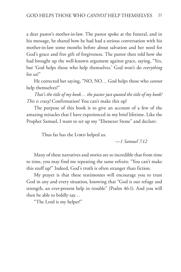a dear pastor's mother-in-law. The pastor spoke at the funeral, and in his message, he shared how he had had a serious conversation with his mother-in-law some months before about salvation and her need for God's grace and free gift of forgiveness. The pastor then told how she had brought up the well-known argument against grace, saying, "Yes, but 'God helps those who help themselves.' God won't do *everything* for us!"

He corrected her saying, "NO, NO… God helps those who *cannot* help themselves!"

*That's the title of my book… the pastor just quoted the title of my book! This is crazy!* Confirmation! You can't make this up!

The purpose of this book is to give an account of a few of the amazing miracles that I have experienced in my brief lifetime. Like the Prophet Samuel, I want to set up my "Ebenezer Stone" and declare:

Thus far has the LORD helped us.

*—1 Samuel 7:12*

Many of these narratives and stories are so incredible that from time to time, you may find me repeating the same refrain: "You can't make this stuff up!" Indeed, God's truth is often stranger than fiction.

My prayer is that these testimonies will encourage you to trust God in any and every situation, knowing that "God is our refuge and strength, an ever-present help in trouble" (Psalm 46:1). And you will then be able to boldly say…

"The Lord is my helper!"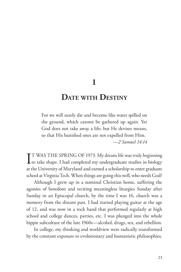**1**

### **Date with Destiny**

For we will surely die and become like water spilled on the ground, which cannot be gathered up again. Yet God does not take away a life; but He devises means, so that His banished ones are not expelled from Him. *—2 Samuel 14:14*

IT WAS THE SPRING OF 1973. My dream life was truly beginning<br>to take shape. I had completed my undergraduate studies in biology TT WAS THE SPRING OF 1973. My dream life was truly beginning at the University of Maryland and earned a scholarship to enter graduate school at Virginia Tech. When things are going this well, who needs God?

Although I grew up in a nominal Christian home, suffering the agonies of boredom and reciting meaningless liturgies Sunday after Sunday in an Episcopal church, by the time I was 16, church was a memory from the distant past. I had started playing guitar at the age of 12, and was now in a rock band that performed regularly at high school and college dances, parties, etc. I was plunged into the whole hippie subculture of the late 1960s—alcohol, drugs, sex, and rebellion.

In college, my thinking and worldview were radically transformed by the constant exposure to evolutionary and humanistic philosophies.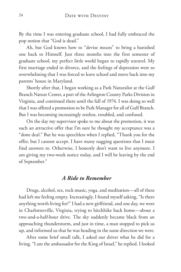By the time I was entering graduate school, I had fully embraced the pop notion that "God is dead."

Ah, but God knows how to "devise means" to bring a banished one back to Himself. Just three months into the first semester of graduate school, my perfect little world began to rapidly unravel. My first marriage ended in divorce, and the feelings of depression were so overwhelming that I was forced to leave school and move back into my parents' house in Maryland.

Shortly after that, I began working as a Park Naturalist at the Gulf Branch Nature Center, a part of the Arlington County Parks Division in Virginia, and continued there until the fall of 1974. I was doing so well that I was offered a promotion to be Park Manager for all of Gulf Branch. But I was becoming increasingly restless, troubled, and confused.

On the day my supervisor spoke to me about the promotion, it was such an attractive offer that I'm sure he thought my acceptance was a "done deal." But he was speechless when I replied, "Thank you for the offer, but I cannot accept. I have many nagging questions that I must find answers to. Otherwise, I honestly don't want to live anymore. I am giving my two-week notice today, and I will be leaving by the end of September."

#### *A Ride to Remember*

Drugs, alcohol, sex, rock music, yoga, and meditation—all of these had left me feeling empty. Increasingly, I found myself asking, "Is there anything worth living for?" I had a new girlfriend, and one day, we were in Charlottesville, Virginia, trying to hitchhike back home—about a two-and-a-half-hour drive. The sky suddenly became black from an approaching thunderstorm, and just in time, a man stopped to pick us up, and informed us that he was heading in the same direction we were.

After some brief small talk, I asked our driver what he did for a living. "I am the ambassador for the King of Israel," he replied. I looked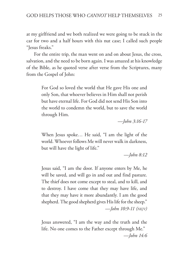at my girlfriend and we both realized we were going to be stuck in the car for two and a half hours with this nut case; I called such people "Jesus freaks."

For the entire trip, the man went on and on about Jesus, the cross, salvation, and the need to be born again. I was amazed at his knowledge of the Bible, as he quoted verse after verse from the Scriptures, many from the Gospel of John:

> For God so loved the world that He gave His one and only Son, that whoever believes in Him shall not perish but have eternal life. For God did not send His Son into the world to condemn the world, but to save the world through Him.

> > *—John 3:16-17*

When Jesus spoke… He said, "I am the light of the world. Whoever follows Me will never walk in darkness, but will have the light of life."

*—John 8:12*

Jesus said, "I am the door. If anyone enters by Me, he will be saved, and will go in and out and find pasture. The thief does not come except to steal, and to kill, and to destroy. I have come that they may have life, and that they may have it more abundantly. I am the good shepherd. The good shepherd gives His life for the sheep." *—John 10:9-11 (nkjv)*

Jesus answered, "I am the way and the truth and the life. No one comes to the Father except through Me." *—John 14:6*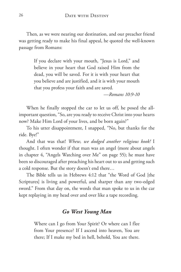Then, as we were nearing our destination, and our preacher friend was getting ready to make his final appeal, he quoted the well-known passage from Romans:

> If you declare with your mouth, "Jesus is Lord," and believe in your heart that God raised Him from the dead, you will be saved. For it is with your heart that you believe and are justified, and it is with your mouth that you profess your faith and are saved.

> > *—Romans 10:9-10*

When he finally stopped the car to let us off, he posed the allimportant question, "So, are you ready to receive Christ into your hearts now? Make Him Lord of your lives, and be born again?"

To his utter disappointment, I snapped, "No, but thanks for the ride. Bye!"

And that was that! *Whew, we dodged another religious kook!* I thought. I often wonder if that man was an angel (more about angels in chapter 4, "Angels Watching over Me" on page 55); he must have been so discouraged after preaching his heart out to us and getting such a cold response. But the story doesn't end there…

The Bible tells us in Hebrews 4:12 that "the Word of God [the Scriptures] is living and powerful, and sharper than any two-edged sword." From that day on, the words that man spoke to us in the car kept replaying in my head over and over like a tape recording.

#### *Go West Young Man*

Where can I go from Your Spirit? Or where can I flee from Your presence? If I ascend into heaven, You are there; If I make my bed in hell, behold, You are there.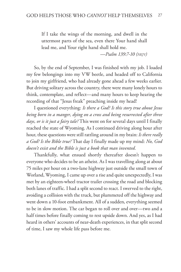If I take the wings of the morning, and dwell in the uttermost parts of the sea, even there Your hand shall lead me, and Your right hand shall hold me.

*—Psalm 139:7-10 (nkjv)*

So, by the end of September, I was finished with my job. I loaded my few belongings into my VW beetle, and headed off to California to join my girlfriend, who had already gone ahead a few weeks earlier. But driving solitary across the country, there were many lonely hours to think, contemplate, and reflect—and many hours to keep hearing the recording of that "Jesus freak" preaching inside my head!

I questioned everything: *Is there a God? Is this story true about Jesus being born in a manger, dying on a cross and being resurrected after three days, or is it just a fairy tale?* This went on for several days until I finally reached the state of Wyoming. As I continued driving along hour after hour, these questions were still rattling around in my brain: *Is there really a God? Is the Bible true?* That day I finally made up my mind: *No, God doesn't exist and the Bible is just a book that man invented.*

Thankfully, what ensued shortly thereafter doesn't happen to everyone who decides to be an atheist. As I was travelling along at about 75 miles per hour on a two-lane highway just outside the small town of Worland, Wyoming, I came up over a rise and quite unexpectedly, I was met by an eighteen-wheel tractor trailer crossing the road and blocking both lanes of traffic. I had a split second to react. I swerved to the right, avoiding a collision with the truck, but plummeted off the highway and went down a 10-foot embankment. All of a sudden, everything seemed to be in slow motion. The car began to roll over and over—two and a half times before finally coming to rest upside down. And yes, as I had heard in others' accounts of near-death experiences, in that split second of time, I saw my whole life pass before me.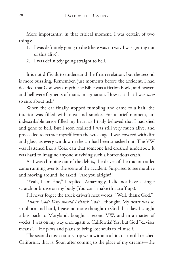More importantly, in that critical moment, I was certain of two things:

- 1. I was definitely going to die (there was no way I was getting out of this alive).
- 2. I was definitely going straight to hell.

It is not difficult to understand the first revelation, but the second is more puzzling. Remember, just moments before the accident, I had decided that God was a myth, the Bible was a fiction book, and heaven and hell were figments of man's imagination. How is it that I was *now* so sure about hell?

When the car finally stopped tumbling and came to a halt, the interior was filled with dust and smoke. For a brief moment, an indescribable terror filled my heart as I truly believed that I had died and gone to hell. But I soon realized I was still very much alive, and proceeded to extract myself from the wreckage. I was covered with dirt and glass, as every window in the car had been smashed out. The VW was flattened like a Coke can that someone had crushed underfoot. It was hard to imagine anyone surviving such a horrendous crash.

As I was climbing out of the debris, the driver of the tractor trailer came running over to the scene of the accident. Surprised to see me alive and moving around, he asked, "Are you alright?"

"Yeah, I am fine," I replied. Amazingly, I did not have a single scratch or bruise on my body (You can't make this stuff up!).

I'll never forget the truck driver's next words: "Well, thank God."

*Thank God? Why should I thank God?* I thought. My heart was so stubborn and hard, I gave no more thought to God that day. I caught a bus back to Maryland, bought a second VW, and in a matter of weeks, I was on my way once again to California! Yes, but God "devises means"… He plots and plans to bring lost souls to Himself.

The second cross country trip went without a hitch—until I reached California, that is. Soon after coming to the place of my dreams—the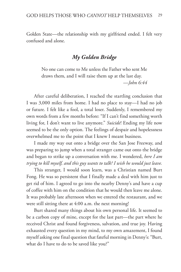Golden State—the relationship with my girlfriend ended. I felt very confused and alone.

#### *My Golden Bridge*

No one can come to Me unless the Father who sent Me draws them, and I will raise them up at the last day. *—John 6:44*

After careful deliberation, I reached the startling conclusion that I was 3,000 miles from home. I had no place to stay—I had no job or future. I felt like a fool, a total loser. Suddenly, I remembered my own words from a few months before: "If I can't find something worth living for, I don't want to live anymore." *Suicide*! Ending my life now seemed to be the only option. The feelings of despair and hopelessness overwhelmed me to the point that I knew I meant business.

I made my way out onto a bridge over the San Jose Freeway, and was preparing to jump when a total stranger came out onto the bridge and began to strike up a conversation with me. I wondered, *here I am trying to kill myself, and this guy wants to talk? I wish he would just leave.*

This stranger, I would soon learn, was a Christian named Burt Fong. He was so persistent that I finally made a deal with him just to get rid of him. I agreed to go into the nearby Denny's and have a cup of coffee with him on the condition that he would then leave me alone. It was probably late afternoon when we entered the restaurant, and we were still sitting there at 4:00 a.m. the next morning!

Burt shared many things about his own personal life. It seemed to be a carbon copy of mine, except for the last part—the part where he received Christ and found forgiveness, salvation, and true joy. Having exhausted every question in my mind, to my own amazement, I found myself asking one final question that fateful morning in Denny's: "Burt, what do I have to do to be saved like you?"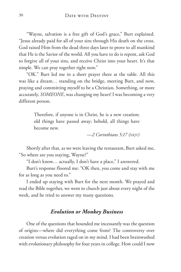"Wayne, salvation is a free gift of God's grace," Burt explained. "Jesus already paid for all of your sins through His death on the cross. God raised Him from the dead three days later to prove to all mankind that He is the Savior of the world. All you have to do is repent, ask God to forgive all of your sins, and receive Christ into your heart. It's that simple. We can pray together right now."

"OK." Burt led me in a short prayer there at the table. All this was like a dream… standing on the bridge, meeting Burt, and now, praying and committing myself to be a Christian. Something, or more accurately, *SOMEONE*, was changing my heart! I was becoming a very different person.

> Therefore, if anyone is in Christ, he is a new creation; old things have passed away; behold, all things have become new.

> > *—2 Corinthians 5:17 (nkjv)*

Shortly after that, as we were leaving the restaurant, Burt asked me, "So where are you staying, Wayne?"

"I don't know… actually, I don't have a place," I answered.

Burt's response floored me: "OK then, you come and stay with me for as long as you need to."

I ended up staying with Burt for the next month. We prayed and read the Bible together, we went to church just about every night of the week, and he tried to answer my many questions.

#### *Evolution or Monkey Business*

One of the questions that hounded me incessantly was the question of origins—where did everything come from? The controversy over creation versus evolution raged on in my mind. I had been brainwashed with evolutionary philosophy for four years in college. How could I now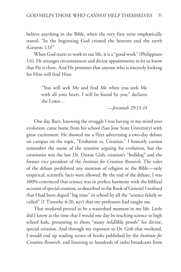believe anything in the Bible, when the very first verse emphatically stated, "In the beginning God created the heavens and the earth (Genesis 1:1)?"

When God starts to work in our life, it is a "good work" (Philippians 1:6). He arranges circumstances and divine appointments to let us know that He is there. And He promises that anyone who is sincerely looking for Him will find Him:

> "You will seek Me and find Me when you seek Me with all your heart. I will be found by you," declares  $the LoRD...$

> > *—Jeremiah 29:13-14*

One day Burt, knowing the struggle I was having in my mind over evolution, came home from his school (San Jose State University) with great excitement. He showed me a flyer advertising a two-day debate on campus on the topic, "Evolution vs. Creation." I honestly cannot remember the name of the scientist arguing for evolution, but the creationist was the late Dr. Duane Gish, creation's "bulldog" and the former vice president of the *Institute for Creation Research*. The rules of the debate prohibited any mention of religion or the Bible—only empirical, scientific facts were allowed. By the end of the debate, I was 100% convinced that science was in perfect harmony with the biblical account of special creation, as described in the Book of Genesis! I realized that I had been duped "big time" in school by all the "science falsely so called" (1 Timothy 6:20, kjv) that my professors had taught me.

That weekend proved to be a watershed moment in my life. Little did I know at the time that I would one day be teaching science to high school kids, presenting to them "many infallible proofs" for divine, special creation. And through my exposure to Dr. Gish that weekend, I would end up reading scores of books published by the *Institute for Creation Research,* and listening to hundreds of radio broadcasts from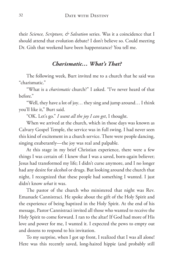their *Science, Scripture, & Salvation* series. Was it a coincidence that I should attend that evolution debate? I don't believe so. Could meeting Dr. Gish that weekend have been happenstance? You tell me.

#### *Charismatic… What's That?*

The following week, Burt invited me to a church that he said was "charismatic."

"What is a *charismatic* church?" I asked. "I've never heard of that before."

"Well, they have a lot of joy… they sing and jump around… I think you'll like it," Burt said.

"OK. Let's go." *I want all the joy I can get*, I thought.

When we arrived at the church, which in those days was known as Calvary Gospel Temple, the service was in full swing. I had never seen this kind of excitement in a church service. There were people dancing, singing exuberantly—the joy was real and palpable.

At this stage in my brief Christian experience, there were a few things I was certain of: I knew that I was a saved, born-again believer; Jesus had transformed my life; I didn't curse anymore, and I no longer had any desire for alcohol or drugs. But looking around the church that night, I recognized that these people had something I wanted. I just didn't know *what* it was.

The pastor of the church who ministered that night was Rev. Emanuele Cannistraci. He spoke about the gift of the Holy Spirit and the experience of being baptized in the Holy Spirit. At the end of his message, Pastor Cannistraci invited all those who wanted to receive the Holy Spirit to come forward. I ran to the altar! If God had more of His love and power for me, I wanted it. I expected the pews to empty out and dozens to respond to his invitation.

To my surprise, when I got up front, I realized that I was all alone! Here was this recently saved, long-haired hippie (and probably still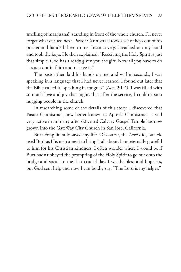smelling of marijuana!) standing in front of the whole church. I'll never forget what ensued next. Pastor Cannistraci took a set of keys out of his pocket and handed them to me. Instinctively, I reached out my hand and took the keys. He then explained, "Receiving the Holy Spirit is just that simple. God has already given you the gift. Now all you have to do is reach out in faith and receive it."

The pastor then laid his hands on me, and within seconds, I was speaking in a language that I had never learned. I found out later that the Bible called it "speaking in tongues" (Acts 2:1-4). I was filled with so much love and joy that night, that after the service, I couldn't stop hugging people in the church.

In researching some of the details of this story, I discovered that Pastor Cannistraci, now better known as Apostle Cannistraci, is still very active in ministry after 60 years! Calvary Gospel Temple has now grown into the GateWay City Church in San Jose, California.

Burt Fong literally saved my life. Of course, the *Lord* did, but He used Burt as His instrument to bring it all about. I am eternally grateful to him for his Christian kindness. I often wonder where I would be if Burt hadn't obeyed the prompting of the Holy Spirit to go out onto the bridge and speak to me that crucial day. I was helpless and hopeless, but God sent help and now I can boldly say, "The Lord is my helper."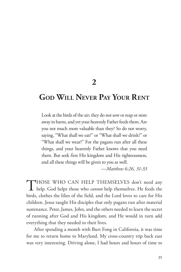**2**

## **God Will Never Pay Your Rent**

Look at the birds of the air; they do not sow or reap or store away in barns, and yet your heavenly Father feeds them. Are you not much more valuable than they? So do not worry, saying, "What shall we eat?" or "What shall we drink?" or "What shall we wear?" For the pagans run after all these things, and your heavenly Father knows that you need them. But seek first His kingdom and His righteousness, and all these things will be given to you as well.

*—Matthew 6:26, 31-33*

THOSE WHO CAN HELP THEMSELVES don't need any help. God helps those who *cannot* help themselves. He feeds the birds, clothes the lilies of the field, and the Lord loves to care for His children. Jesus taught His disciples that only pagans run after material sustenance. Peter, James, John, and the others needed to learn the secret of running after God and His kingdom, and He would in turn add everything that they needed to their lives.

After spending a month with Burt Fong in California, it was time for me to return home to Maryland. My cross-country trip back east was very interesting. Driving alone, I had hours and hours of time to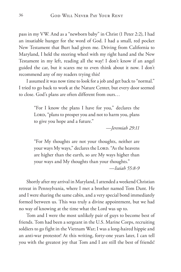pass in my VW. And as a "newborn baby" in Christ (1 Peter 2:2), I had an insatiable hunger for the word of God. I had a small, red pocket New Testament that Burt had given me. Driving from California to Maryland, I held the steering wheel with my right hand and the New Testament in my left, reading all the way! I don't know if an angel guided the car, but it scares me to even think about it now. I don't recommend any of my readers trying this!

I assumed it was now time to look for a job and get back to "normal." I tried to go back to work at the Nature Center, but every door seemed to close. God's plans are often different from ours…

> "For I know the plans I have for you," declares the LORD, "plans to prosper you and not to harm you, plans to give you hope and a future."

> > *—Jeremiah 29:11*

"For My thoughts are not your thoughts, neither are your ways My ways," declares the LORD. "As the heavens are higher than the earth, so are My ways higher than your ways and My thoughts than your thoughts."

*—Isaiah 55:8-9*

Shortly after my arrival in Maryland, I attended a weekend Christian retreat in Pennsylvania, where I met a brother named Tom Dant. He and I were sharing the same cabin, and a very special bond immediately formed between us. This was truly a divine appointment, but we had no way of knowing at the time what the Lord was up to.

Tom and I were the most unlikely pair of guys to become best of friends. Tom had been a sergeant in the U.S. Marine Corps, recruiting soldiers to go fight in the Vietnam War; I was a long-haired hippie and an anti-war protestor! At this writing, forty-one years later, I can tell you with the greatest joy that Tom and I are still the best of friends!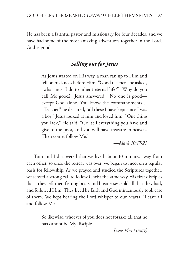He has been a faithful pastor and missionary for four decades, and we have had some of the most amazing adventures together in the Lord. God is good!

## *Selling out for Jesus*

As Jesus started on His way, a man ran up to Him and fell on his knees before Him. "Good teacher," he asked, "what must I do to inherit eternal life?" "Why do you call Me good?" Jesus answered. "No one is good except God alone. You know the commandments… "Teacher," he declared, "all these I have kept since I was a boy." Jesus looked at him and loved him. "One thing you lack," He said. "Go, sell everything you have and give to the poor, and you will have treasure in heaven. Then come, follow Me."

*—Mark 10:17-21*

Tom and I discovered that we lived about 10 minutes away from each other, so once the retreat was over, we began to meet on a regular basis for fellowship. As we prayed and studied the Scriptures together, we sensed a strong call to follow Christ the same way His first disciples did—they left their fishing boats and businesses, sold all that they had, and followed Him. They lived by faith and God miraculously took care of them. We kept hearing the Lord whisper to our hearts, "Leave all and follow Me."

> So likewise, whoever of you does not forsake all that he has cannot be My disciple.

> > *—Luke 14:33 (nkjv)*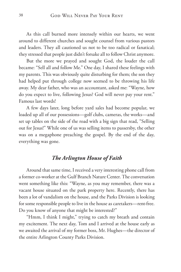As this call burned more intensely within our hearts, we went around to different churches and sought counsel from various pastors and leaders. They all cautioned us not to be too radical or fanatical; they stressed that people just didn't forsake all to follow Christ anymore.

But the more we prayed and sought God, the louder the call became: "Sell all and follow Me." One day, I shared these feelings with my parents. This was obviously quite disturbing for them; the son they had helped put through college now seemed to be throwing his life away. My dear father, who was an accountant, asked me: "Wayne, how do you expect to live, following Jesus? God will never pay your rent." Famous last words!

A few days later, long before yard sales had become popular, we loaded up all of our possessions—golf clubs, cameras, the works—and set up tables on the side of the road with a big sign that read, "Selling out for Jesus!" While one of us was selling items to passersby, the other was on a megaphone preaching the gospel. By the end of the day, everything was gone.

#### *The Arlington House of Faith*

Around that same time, I received a very interesting phone call from a former co-worker at the Gulf Branch Nature Center. The conversation went something like this: "Wayne, as you may remember, there was a vacant house situated on the park property here. Recently, there has been a lot of vandalism on the house, and the Parks Division is looking for some responsible people to live in the house as caretakers—rent-free. Do you know of anyone that might be interested?"

"Hmm, I think I might," trying to catch my breath and contain my excitement. The next day, Tom and I arrived at the house early as we awaited the arrival of my former boss, Mr. Hughes—the director of the entire Arlington County Parks Division.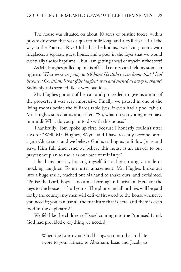The house was situated on about 10 acres of pristine forest, with a private driveway that was a quarter mile long, and a trail that led all the way to the Potomac River! It had six bedrooms, two living rooms with fireplaces, a separate guest house, and a pool in the foyer that we would eventually use for baptisms… but I am getting ahead of myself in the story!

As Mr. Hughes pulled up in his official county car, I felt my stomach tighten. *What were we going to tell him? He didn't even know that I had become a Christian. What if he laughed at us and turned us away in shame?* Suddenly this seemed like a very bad idea.

Mr. Hughes got out of his car, and proceeded to give us a tour of the property; it was very impressive. Finally, we paused in one of the living rooms beside the billiards table (yes, it even had a pool table!). Mr. Hughes stared at us and asked, "So, what do you young men have in mind? What do you plan to do with this house?"

Thankfully, Tom spoke up first, because I honestly couldn't utter a word: "Well, Mr. Hughes, Wayne and I have recently become bornagain Christians, and we believe God is calling us to follow Jesus and serve Him full time. And we believe this house is an answer to our prayers; we plan to use it as our base of ministry."

I held my breath, bracing myself for either an angry tirade or mocking laughter. To my utter amazement, Mr. Hughes broke out into a huge smile, reached out his hand to shake ours, and exclaimed, "Praise the Lord, boys. I too am a born-again Christian! Here are the keys to the house—it's all yours. The phone and all utilities will be paid for by the county; my men will deliver firewood to the house whenever you need it; you can use all the furniture that is here, and there is even food in the cupboards!"

We felt like the children of Israel coming into the Promised Land. God had provided everything we needed!

> When the LORD your God brings you into the land He swore to your fathers, to Abraham, Isaac and Jacob, to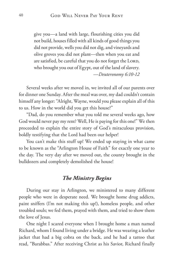give you—a land with large, flourishing cities you did not build, houses filled with all kinds of good things you did not provide, wells you did not dig, and vineyards and olive groves you did not plant—then when you eat and are satisfied, be careful that you do not forget the LORD, who brought you out of Egypt, out of the land of slavery. *—Deuteronomy 6:10-12*

Several weeks after we moved in, we invited all of our parents over for dinner one Sunday. After the meal was over, my dad couldn't contain himself any longer: "Alright, Wayne, would you please explain all of this to us. How in the world did you get this house?"

"Dad, do you remember what you told me several weeks ago, how God would never pay my rent? Well, He is paying for this one!" We then proceeded to explain the entire story of God's miraculous provision, boldly testifying that the Lord had been our helper!

You can't make this stuff up! We ended up staying in what came to be known as the "Arlington House of Faith" for exactly one year to the day. The very day after we moved out, the county brought in the bulldozers and completely demolished the house!

#### *The Ministry Begins*

During our stay in Arlington, we ministered to many different people who were in desperate need. We brought home drug addicts, paint sniffers (I'm not making this up!), homeless people, and other troubled souls; we fed them, prayed with them, and tried to show them the love of Jesus.

One night I scared everyone when I brought home a man named Richard, whom I found living under a bridge. He was wearing a leather jacket that had a big cobra on the back, and he had a tattoo that read, "Barabbas." After receiving Christ as his Savior, Richard finally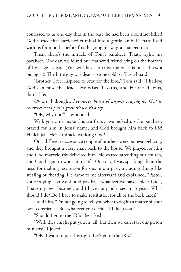confessed to us one day that in the past, he had been a contract killer! God turned that hardened criminal into a gentle lamb. Richard lived with us for months before finally going his way, a changed man.

Then, there's the miracle of Tom's parakeet. That's right, his parakeet. One day, we found our feathered friend lying on the bottom of his cage—dead. (You will have to trust me on this one—I *am* a biologist!) The little guy was dead—stone cold, stiff as a board.

"Brother, I feel inspired to pray for the bird," Tom said. "I believe God can raise the dead—He raised Lazarus, and He raised Jesus, didn't He?"

*Oh my*! I thought. *I've never heard of anyone praying for God to resurrect dead pets! I guess it's worth a try.*

"OK, why not?" I responded.

Well, you can't make this stuff up... we picked up the parakeet, prayed for him in Jesus' name, and God brought him back to life! Hallelujah, He's a miracle-working God!

On a different occasion, a couple of brothers were out evangelizing, and they brought a crazy man back to the house. We prayed for him and God marvelously delivered him. He started attending our church, and God began to work in his life. One day, I was speaking about the need for making restitution for sins in our past, including things like stealing or cheating. He came to me afterward and explained, "Pastor, you're saying that we should pay back whatever we have stolen? Look, I have my own business, and I have not paid taxes in 15 years! What should I do? Do I have to make restitution for all of the back taxes?"

I told him, "I'm not going to tell you what to do; it's a matter of your own conscience. But whatever you decide, I'll help you."

"Should I go to the IRS?" he asked.

"Well, they might put you in jail, but then we can start our prison ministry," I joked.

"OK. I want to put this right. Let's go to the IRS."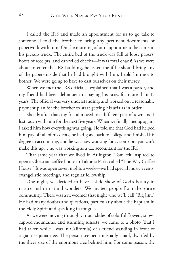I called the IRS and made an appointment for us to go talk to someone. I told the brother to bring any pertinent documents or paperwork with him. On the morning of our appointment, he came in his pickup truck. The entire bed of the truck was full of loose papers, boxes of receipts, and cancelled checks—it was total chaos! As we were about to enter the IRS building, he asked me if he should bring any of the papers inside that he had brought with him. I told him not to bother. We were going to have to cast ourselves on their mercy.

When we met the IRS official, I explained that I was a pastor, and my friend had been delinquent in paying his taxes for more than 15 years. The official was very understanding, and worked out a reasonable payment plan for the brother to start getting his affairs in order.

Shortly after that, my friend moved to a different part of town and I lost touch with him for the next five years. When we finally met up again, I asked him how everything was going. He told me that God had helped him pay off all of his debts, he had gone back to college and finished his degree in accounting, and he was now working for… come on, you can't make this up… he was working as a tax accountant for the IRS!

That same year that we lived in Arlington, Tom felt inspired to open a Christian coffee house in Takoma Park, called "The Way Coffee House." It was open seven nights a week—we had special music events, evangelistic meetings, and regular fellowship.

One night, we decided to have a slide show of God's beauty in nature and in natural wonders. We invited people from the entire community. There was a newcomer that night who we'll call "Big Jim." He had many doubts and questions, particularly about the baptism in the Holy Spirit and speaking in tongues.

As we were moving through various slides of colorful flowers, snowcapped mountains, and stunning sunsets, we came to a photo (that I had taken while I was in California) of a friend standing in front of a giant sequoia tree. The person seemed unusually small, dwarfed by the sheer size of the enormous tree behind him. For some reason, the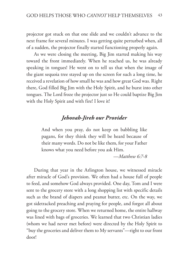projector got stuck on that one slide and we couldn't advance to the next frame for several minutes. I was getting quite perturbed when, all of a sudden, the projector finally started functioning properly again.

As we were closing the meeting, Big Jim started making his way toward the front immediately. When he reached us, he was already speaking in tongues! He went on to tell us that when the image of the giant sequoia tree stayed up on the screen for such a long time, he received a revelation of how small he was and how great God was. Right there, God filled Big Jim with the Holy Spirit, and he burst into other tongues. The Lord froze the projector just so He could baptize Big Jim with the Holy Spirit and with fire! I love it!

## *Jehovah-Jireh our Provider*

And when you pray, do not keep on babbling like pagans, for they think they will be heard because of their many words. Do not be like them, for your Father knows what you need before you ask Him.

*—Matthew 6:7-8*

During that year in the Arlington house, we witnessed miracle after miracle of God's provision. We often had a house full of people to feed, and somehow God always provided. One day, Tom and I were sent to the grocery store with a long shopping list with specific details such as the brand of diapers and peanut butter, etc. On the way, we got sidetracked preaching and praying for people, and forgot all about going to the grocery store. When we returned home, the entire hallway was lined with bags of groceries. We learned that two Christian ladies (whom we had never met before) were directed by the Holy Spirit to "buy the groceries and deliver them to My servants"—right to our front door!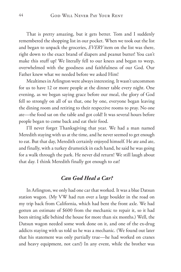That is pretty amazing, but it gets better. Tom and I suddenly remembered the shopping list in our pocket. When we took out the list and began to unpack the groceries, *EVERY* item on the list was there, right down to the exact brand of diapers and peanut butter! You can't make this stuff up! We literally fell to our knees and began to weep, overwhelmed with the goodness and faithfulness of our God. Our Father knew what we needed before we asked Him!

Mealtimes in Arlington were always interesting. It wasn't uncommon for us to have 12 or more people at the dinner table every night. One evening, as we began saying grace before our meal, the glory of God fell so strongly on all of us that, one by one, everyone began leaving the dining room and retiring to their respective rooms to pray. No one ate—the food sat on the table and got cold! It was several hours before people began to come back and eat their food.

I'll never forget Thanksgiving that year. We had a man named Meredith staying with us at the time, and he never seemed to get enough to eat. But that day, Meredith certainly enjoyed himself. He ate and ate, and finally, with a turkey drumstick in each hand, he said he was going for a walk through the park. He never did return! We still laugh about that day. I think Meredith finally got enough to eat!

#### *Can God Heal a Car?*

In Arlington, we only had one car that worked. It was a blue Datsun station wagon. (My VW had run over a large boulder in the road on my trip back from California, which had bent the front axle. We had gotten an estimate of \$600 from the mechanic to repair it, so it had been sitting idle behind the house for more than six months.) Well, the Datsun wagon needed some work done on it, and one of the ex-drug addicts staying with us told us he was a mechanic. (We found out later that his statement was only partially true—he had worked on cranes and heavy equipment, not cars!) In any event, while the brother was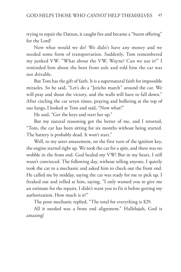trying to repair the Datsun, it caught fire and became a "burnt offering" for the Lord!

Now what would we do? We didn't have any money and we needed some form of transportation. Suddenly, Tom remembered my junked VW. "What about the VW, Wayne? Can we use it?" I reminded him about the bent front axle and told him the car was not drivable.

But Tom has the gift of faith. It is a supernatural faith for impossible miracles. So he said, "Let's do a "Jericho march" around the car. We will pray and shout the victory, and the walls will have to fall down." After circling the car seven times, praying and hollering at the top of our lungs, I looked at Tom and said, "Now what?"

He said, "Get the keys and start her up."

But my natural reasoning got the better of me, and I retorted, "Tom, the car has been sitting for six months without being started. The battery is probably dead. It won't start."

Well, to my utter amazement, on the first turn of the ignition key, the engine started right up. We took the car for a spin, and there was no wobble in the front end. God healed my VW! But in my heart, I still wasn't convinced. The following day, without telling anyone, I quietly took the car to a mechanic and asked him to check out the front end. He called me by midday, saying the car was ready for me to pick up. I freaked out and yelled at him, saying, "I only wanted you to give me an estimate for the repairs. I didn't want you to fix it before getting my authorization. How much is it?"

The poor mechanic replied, "The total for everything is \$29.

All it needed was a front end alignment." Hallelujah, God is amazing!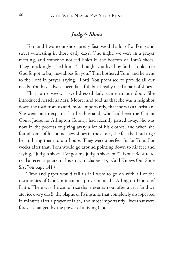## *Judge's Shoes*

Tom and I wore out shoes pretty fast; we did a lot of walking and street witnessing in those early days. One night, we were in a prayer meeting, and someone noticed holes in the bottom of Tom's shoes. They mockingly asked him, "I thought you lived by faith. Looks like God forgot to buy new shoes for you." This bothered Tom, and he went to the Lord in prayer, saying, "Lord, You promised to provide all our needs. You have always been faithful, but I really need a pair of shoes."

That same week, a well-dressed lady came to our door. She introduced herself as Mrs. Moore, and told us that she was a neighbor down the road from us and, more importantly, that she was a Christian. She went on to explain that her husband, who had been the Circuit Court Judge for Arlington County, had recently passed away. She was now in the process of giving away a lot of his clothes, and when she found some of his brand-new shoes in the closet, she felt the Lord urge her to bring them to our house. They were a perfect fit for Tom! For weeks after that, Tom would go around pointing down to his feet and saying, "Judge's shoes. I've got my judge's shoes on!" (Note: Be sure to read a recent update to this story in chapter 17, "God Knows Our Shoe Size*"* on page 141.)

Time and paper would fail us if I were to go on with all of the testimonies of God's miraculous provision at the Arlington House of Faith. There was the can of rice that never ran out after a year (and we ate rice every day!), the plague of flying ants that completely disappeared in minutes after a prayer of faith, and most importantly, lives that were forever changed by the power of a living God.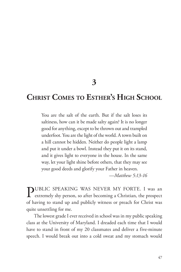**3**

# **Christ Comes to Esther's High School**

You are the salt of the earth. But if the salt loses its saltiness, how can it be made salty again? It is no longer good for anything, except to be thrown out and trampled underfoot. You are the light of the world. A town built on a hill cannot be hidden. Neither do people light a lamp and put it under a bowl. Instead they put it on its stand, and it gives light to everyone in the house. In the same way, let your light shine before others, that they may see your good deeds and glorify your Father in heaven.

*—Matthew 5:13-16*

PUBLIC SPEAKING WAS NEVER MY FORTE. I was an extremely shy person, so after becoming a Christian, the prospect of having to stand up and publicly witness or preach for Christ was quite unsettling for me.

The lowest grade I ever received in school was in my public speaking class at the University of Maryland. I dreaded each time that I would have to stand in front of my 20 classmates and deliver a five-minute speech. I would break out into a cold sweat and my stomach would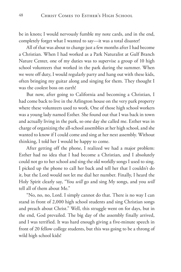be in knots; I would nervously fumble my note cards, and in the end, completely forget what I wanted to say—it was a total disaster!

All of that was about to change just a few months after I had become a Christian. When I had worked as a Park Naturalist at Gulf Branch Nature Center, one of my duties was to supervise a group of 10 high school volunteers that worked in the park during the summer. When we were off duty, I would regularly party and hang out with these kids, often bringing my guitar along and singing for them. They thought I was the coolest boss on earth!

But now, after going to California and becoming a Christian, I had come back to live in the Arlington house on the very park property where these volunteers used to work. One of those high school workers was a young lady named Esther. She found out that I was back in town and actually living in the park, so one day she called me. Esther was in charge of organizing the all-school assemblies at her high school, and she wanted to know if I could come and sing at her next assembly. Without thinking, I told her I would be happy to come.

After getting off the phone, I realized we had a major problem: Esther had no idea that I had become a Christian, and I absolutely could not go to her school and sing the old worldly songs I used to sing. I picked up the phone to call her back and tell her that I couldn't do it, but the Lord would not let me dial her number. Finally, I heard the Holy Spirit clearly say, "You *will* go and sing My songs, and you *will* tell all of them about Me."

"No, no, no, Lord. I simply cannot do that. There is no way I can stand in front of 2,000 high school students and sing Christian songs and preach about Christ." Well, this struggle went on for days, but in the end, God prevailed. The big day of the assembly finally arrived, and I was terrified. It was hard enough giving a five-minute speech in front of 20 fellow college students, but this was going to be a throng of wild high school kids!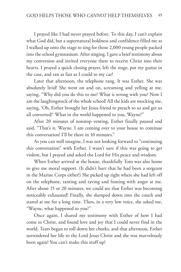I prayed like I had never prayed before. To this day, I can't explain what God did, but a supernatural boldness and confidence filled me as I walked up onto the stage to sing for those 2,000 young people packed into the school gymnasium. After singing, I gave a brief testimony about my conversion and invited everyone there to receive Christ into their hearts. I prayed a quick closing prayer, left the stage, put my guitar in the case, and ran as fast as I could to my car!

Later that afternoon, the telephone rang. It was Esther. She was absolutely livid! She went on and on, screaming and yelling at me, saying, "Why did you do this to me? What is wrong with you? Now I am the laughingstock of the whole school! All the kids are mocking me, saying, 'Oh, Esther brought her Jesus friend to preach to us and get us all converted!' What in the world happened to you, Wayne?"

After 20 minutes of nonstop venting, Esther finally paused and said, "That's it, Wayne. I am coming over to your house to continue this conversation! I'll be there in 10 minutes."

As you can well imagine, I was not looking forward to "continuing this conversation" with Esther. I wasn't sure if this was going to get violent, but I prayed and asked the Lord for His peace and wisdom.

When Esther arrived at the house, thankfully Tom was also home to give me moral support. (It didn't hurt that he had been a sergeant in the Marine Corps either!) She picked up right where she had left off on the telephone, ranting and raving and fuming with anger at me. After about 15 or 20 minutes, we could see that Esther was becoming noticeably exhausted! Finally, she slumped down into the couch and stared at me for a long time. Then, in a very low voice, she asked me, "Wayne, what happened to you?"

Once again, I shared my testimony with Esther of how I had come to Christ, and found love and joy that I could never find in the world. Tears began to roll down her cheeks, and that afternoon, Esther surrendered her life to the Lord Jesus Christ and she was marvelously born again! You can't make this stuff up!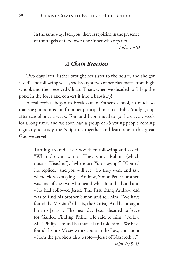In the same way, I tell you, there is rejoicing in the presence of the angels of God over one sinner who repents.

*—Luke 15:10*

#### *A Chain Reaction*

Two days later, Esther brought her sister to the house, and she got saved! The following week, she brought two of her classmates from high school, and they received Christ. That's when we decided to fill up the pond in the foyer and convert it into a baptistry!

A real revival began to break out in Esther's school, so much so that she got permission from her principal to start a Bible Study group after school once a week. Tom and I continued to go there every week for a long time, and we soon had a group of 25 young people coming regularly to study the Scriptures together and learn about this great God we serve!

> Turning around, Jesus saw them following and asked, "What do you want?" They said, "Rabbi" (which means "Teacher"), "where are You staying?" "Come," He replied, "and you will see." So they went and saw where He was staying… Andrew, Simon Peter's brother, was one of the two who heard what John had said and who had followed Jesus. The first thing Andrew did was to find his brother Simon and tell him, "We have found the Messiah" (that is, the Christ). And he brought him to Jesus… The next day Jesus decided to leave for Galilee. Finding Philip, He said to him, "Follow Me." Philip… found Nathanael and told him, "We have found the one Moses wrote about in the Law, and about whom the prophets also wrote—Jesus of Nazareth…" *—John 1:38-45*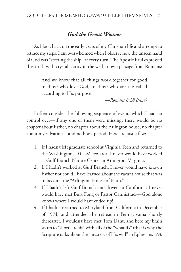#### *God the Great Weaver*

As I look back on the early years of my Christian life and attempt to retrace my steps, I am overwhelmed when I observe how the unseen hand of God was "steering the ship" at every turn. The Apostle Paul expressed this truth with crystal clarity in the well-known passage from Romans:

> And we know that all things work together for good to those who love God, to those who are the called according to His purpose.

> > *—Romans 8:28 (nkjv)*

I often consider the following sequence of events which I had no control over—if any one of them were missing, there would be no chapter about Esther, no chapter about the Arlington house, no chapter about my salvation—and no book period! Here are just a few:

- 1. If I hadn't left graduate school at Virginia Tech and returned to the Washington, D.C. Metro area, I never would have worked at Gulf Branch Nature Center in Arlington, Virginia.
- 2. If I hadn't worked at Gulf Branch, I never would have known Esther nor could I have learned about the vacant house that was to become the "Arlington House of Faith."
- 3. If I hadn't left Gulf Branch and driven to California, I never would have met Burt Fong or Pastor Cannistraci—God alone knows where I would have ended up!
- 4. If I hadn't returned to Maryland from California in December of 1974, and attended the retreat in Pennsylvania shortly thereafter, I wouldn't have met Tom Dant; and here my brain starts to "short circuit" with all of the "what ifs" (that is why the Scripture talks about the "mystery of His will" in Ephesians 1:9).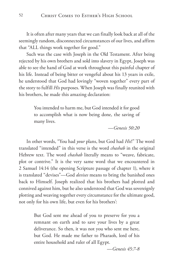It is often after many years that we can finally look back at all of the seemingly random, disconnected circumstances of our lives, and affirm that "ALL things work together for good."

Such was the case with Joseph in the Old Testament. After being rejected by his own brothers and sold into slavery in Egypt, Joseph was able to see the hand of God at work throughout this painful chapter of his life. Instead of being bitter or vengeful about his 13 years in exile, he understood that God had lovingly "woven together" every part of the story to fulfill *His* purposes. When Joseph was finally reunited with his brothers, he made this amazing declaration:

> You intended to harm me, but God intended it for good to accomplish what is now being done, the saving of many lives.

> > *—Genesis 50:20*

In other words, "You had *your* plans, but God had *His*!" The word translated "intended" in this verse is the word *chashab* in the original Hebrew text. The word *chashab* literally means to "weave, fabricate, plot or contrive." It is the very same word that we encountered in 2 Samuel 14:14 (the opening Scripture passage of chapter 1), where it is translated "devises"—God *devises* means to bring the banished ones back to Himself. Joseph realized that his brothers had plotted and connived against him, but he also understood that God was sovereignly plotting and weaving together every circumstance for the ultimate good, not only for his own life, but even for his brothers':

> But God sent me ahead of you to preserve for you a remnant on earth and to save your lives by a great deliverance. So then, it was not you who sent me here, but God. He made me father to Pharaoh, lord of his entire household and ruler of all Egypt.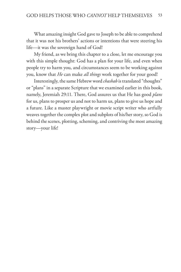What amazing insight God gave to Joseph to be able to comprehend that it was not his brothers' actions or intentions that were steering his life—it was the sovereign hand of God!

My friend, as we bring this chapter to a close, let me encourage you with this simple thought: God has a plan for your life, and even when people try to harm you, and circumstances seem to be working against you, know that *He* can make *all things* work together for your good!

Interestingly, the same Hebrew word *chashab* is translated "thoughts" or "plans" in a separate Scripture that we examined earlier in this book, namely, Jeremiah 29:11. There, God assures us that He has good *plans* for us, plans to prosper us and not to harm us, plans to give us hope and a future. Like a master playwright or movie script writer who artfully weaves together the complex plot and subplots of his/her story, so God is behind the scenes, plotting, scheming, and contriving the most amazing story—your life!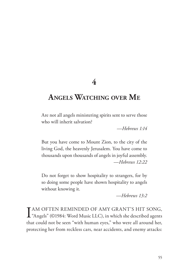**4**

# **Angels Watching over Me**

Are not all angels ministering spirits sent to serve those who will inherit salvation?

*—Hebrews 1:14*

But you have come to Mount Zion, to the city of the living God, the heavenly Jerusalem. You have come to thousands upon thousands of angels in joyful assembly. *—Hebrews 12:22*

Do not forget to show hospitality to strangers, for by so doing some people have shown hospitality to angels without knowing it.

*—Hebrews 13:2*

I AM OFTEN REMINDED OF AMY GRANT'S HIT SONG,<br>"Angels" (©1984: Word Music LLC), in which she described agents TAM OFTEN REMINDED OF AMY GRANT'S HIT SONG, that could not be seen "with human eyes," who were all around her, protecting her from reckless cars, near accidents, and enemy attacks: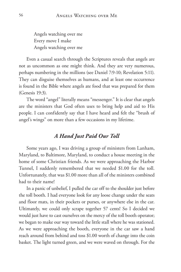Angels watching over me Every move I make Angels watching over me

Even a casual search through the Scriptures reveals that angels are not as uncommon as one might think. And they are very numerous, perhaps numbering in the millions (see Daniel 7:9-10; Revelation 5:11). They can disguise themselves as humans, and at least one occurrence is found in the Bible where angels ate food that was prepared for them (Genesis 19:3).

The word "angel" literally means "messenger." It is clear that angels are the ministers that God often uses to bring help and aid to His people. I can confidently say that I have heard and felt the "brush of angel's wings" on more than a few occasions in my lifetime.

### *A Hand Just Paid Our Toll*

Some years ago, I was driving a group of ministers from Lanham, Maryland, to Baltimore, Maryland, to conduct a house meeting in the home of some Christian friends. As we were approaching the Harbor Tunnel, I suddenly remembered that we needed \$1.00 for the toll. Unfortunately, that was \$1.00 more than all of the ministers combined had to their name!

In a panic of unbelief, I pulled the car off to the shoulder just before the toll booth. I had everyone look for any loose change under the seats and floor mats, in their pockets or purses, or anywhere else in the car. Ultimately, we could only scrape together 57 cents! So I decided we would just have to cast ourselves on the mercy of the toll booth operator; we began to make our way toward the little stall where he was stationed. As we were approaching the booth, everyone in the car saw a hand reach around from behind and toss \$1.00 worth of change into the coin basket. The light turned green, and we were waved on through. For the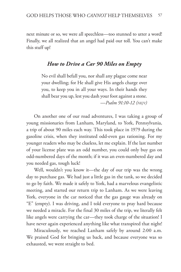next minute or so, we were all speechless—too stunned to utter a word! Finally, we all realized that an angel had paid our toll. You can't make this stuff up!

#### *How to Drive a Car 90 Miles on Empty*

No evil shall befall you, nor shall any plague come near your dwelling; for He shall give His angels charge over you, to keep you in all your ways. In their hands they shall bear you up, lest you dash your foot against a stone. *—Psalm 91:10-12 (nkjv)*

On another one of our road adventures, I was taking a group of young missionaries from Lanham, Maryland, to York, Pennsylvania, a trip of about 90 miles each way. This took place in 1979 during the gasoline crisis, when they instituted odd-even gas rationing. For my younger readers who may be clueless, let me explain. If the last number of your license plate was an odd number, you could only buy gas on odd-numbered days of the month; if it was an even-numbered day and you needed gas, tough luck!

Well, wouldn't you know it—the day of our trip was the wrong day to purchase gas. We had just a little gas in the tank, so we decided to go by faith. We made it safely to York, had a marvelous evangelistic meeting, and started our return trip to Lanham. As we were leaving York, everyone in the car noticed that the gas gauge was already on "E" (empty). I was driving, and I told everyone to pray hard because we needed a miracle. For the final 30 miles of the trip, we literally felt like angels were carrying the car—they took charge of the situation! I have never again experienced anything like what transpired that night!

Miraculously, we reached Lanham safely by around 2:00 a.m. We praised God for bringing us back, and because everyone was so exhausted, we went straight to bed.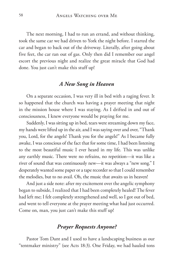The next morning, I had to run an errand, and without thinking, took the same car we had driven to York the night before. I started the car and began to back out of the driveway. Literally, after going about five feet, the car ran out of gas. Only then did I remember our angel escort the previous night and realize the great miracle that God had done. You just can't make this stuff up!

#### *A New Song in Heaven*

On a separate occasion, I was very ill in bed with a raging fever. It so happened that the church was having a prayer meeting that night in the mission house where I was staying. As I drifted in and out of consciousness, I knew everyone would be praying for me.

Suddenly, I was sitting up in bed, tears were streaming down my face, my hands were lifted up in the air, and I was saying over and over, "Thank you, Lord, for the angels! Thank you for the angels!" As I became fully awake, I was conscious of the fact that for some time, I had been listening to the most beautiful music I ever heard in my life. This was unlike any earthly music. There were no refrains, no repetition—it was like a river of sound that was continuously new—it was always a "new song." I desperately wanted some paper or a tape recorder so that I could remember the melodies, but to no avail. Oh, the music that awaits us in heaven!

And just a side note: after my excitement over the angelic symphony began to subside, I realized that I had been completely healed! The fever had left me; I felt completely strengthened and well, so I got out of bed, and went to tell everyone at the prayer meeting what had just occurred. Come on, man, you just can't make this stuff up!

## *Prayer Requests Anyone?*

Pastor Tom Dant and I used to have a landscaping business as our "tentmaker ministry" (see Acts 18:3). One Friday, we had hauled tons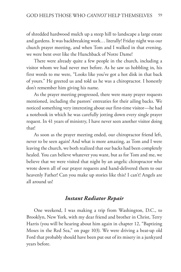of shredded hardwood mulch up a steep hill to landscape a large estate and gardens. It was backbreaking work… literally! Friday night was our church prayer meeting, and when Tom and I walked in that evening, we were bent over like the Hunchback of Notre Dame!

There were already quite a few people in the church, including a visitor whom we had never met before. As he saw us hobbling in, his first words to me were, "Looks like you've got a hot disk in that back of yours." He greeted us and told us he was a chiropractor. I honestly don't remember him giving his name.

As the prayer meeting progressed, there were many prayer requests mentioned, including the pastors' entreaties for their ailing backs. We noticed something very interesting about our first-time visitor—he had a notebook in which he was carefully jotting down every single prayer request. In 41 years of ministry, I have never seen another visitor doing that!

As soon as the prayer meeting ended, our chiropractor friend left, never to be seen again! And what is more amazing, as Tom and I were leaving the church, we both realized that our backs had been completely healed. You can believe whatever you want, but as for Tom and me, we believe that we were visited that night by an angelic chiropractor who wrote down all of our prayer requests and hand-delivered them to our heavenly Father! Can you make up stories like this? I can't! Angels are all around us!

#### *Instant Radiator Repair*

One weekend, I was making a trip from Washington, D.C., to Brooklyn, New York, with my dear friend and brother in Christ, Terry Harris (you will be hearing about him again in chapter 12, "Baptizing Moses in the Red Sea," on page 103). We were driving a beat-up old Ford that probably should have been put out of its misery in a junkyard years before.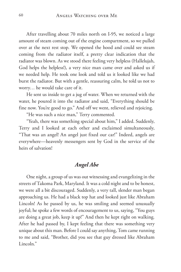After travelling about 70 miles north on I-95, we noticed a large amount of steam coming out of the engine compartment, so we pulled over at the next rest stop. We opened the hood and could see steam coming from the radiator itself, a pretty clear indication that the radiator was blown. As we stood there feeling very helpless (Hallelujah, God helps the helpless!), a very nice man came over and asked us if we needed help. He took one look and told us it looked like we had burst the radiator. But with a gentle, reassuring calm, he told us not to worry… he would take care of it.

He sent us inside to get a jug of water. When we returned with the water, he poured it into the radiator and said, "Everything should be fine now. You're good to go." And off we went, relieved and rejoicing.

"He was such a nice man," Terry commented.

"Yeah, there was something special about him," I added. Suddenly, Terry and I looked at each other and exclaimed simultaneously, "That was an angel! An angel just fixed our car!" Indeed, angels are everywhere—heavenly messengers sent by God in the service of the heirs of salvation!

## *Angel Abe*

One night, a group of us was out witnessing and evangelizing in the streets of Takoma Park, Maryland. It was a cold night and to be honest, we were all a bit discouraged. Suddenly, a very tall, slender man began approaching us. He had a black top hat and looked just like Abraham Lincoln! As he passed by us, he was smiling and seemed unusually joyful; he spoke a few words of encouragement to us, saying, "You guys are doing a great job, keep it up!" And then he kept right on walking. After he had passed by, I kept feeling that there was something very unique about this man. Before I could say anything, Tom came running to me and said, "Brother, did you see that guy dressed like Abraham Lincoln."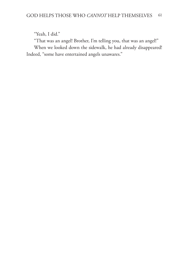"Yeah, I did."

"That was an angel! Brother, I'm telling you, that was an angel!" When we looked down the sidewalk, he had already disappeared! Indeed, "some have entertained angels unawares."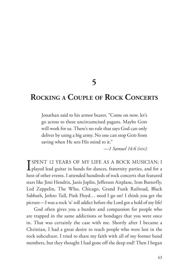**5**

# **Rocking <sup>a</sup> Couple of Rock Concerts**

Jonathan said to his armor bearer, "Come on now, let's go across to these uncircumcised pagans. Maybe God will work for us. There's no rule that says God can only deliver by using a big army. No one can stop GoD from saving when He sets His mind to it."

*—1 Samuel 14:6 (msg)*

**I** SPENT 12 YEARS OF MY LIFE AS A ROCK MUSICIAN; I played lead guitar in bands for dances, fraternity parties, and for a TSPENT 12 YEARS OF MY LIFE AS A ROCK MUSICIAN; I host of other events. I attended hundreds of rock concerts that featured stars like Jimi Hendrix, Janis Joplin, Jefferson Airplane, Iron Butterfly, Led Zeppelin, The Who, Chicago, Grand Funk Railroad, Black Sabbath, Jethro Tull, Pink Floyd… need I go on? I think you get the picture—I was a rock 'n' roll addict before the Lord got a hold of my life!

God often gives you a burden and compassion for people who are trapped in the same addictions or bondages that you were once in. That was certainly the case with me. Shortly after I became a Christian, I had a great desire to reach people who were lost in the rock subculture. I tried to share my faith with all of my former band members, but they thought I had gone off the deep end! Then I began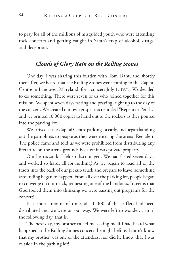to pray for all of the millions of misguided youth who were attending rock concerts and getting caught in Satan's trap of alcohol, drugs, and deception.

## *Clouds of Glory Rain on the Rolling Stones*

One day, I was sharing this burden with Tom Dant, and shortly thereafter, we heard that the Rolling Stones were coming to the Capital Centre in Landover, Maryland, for a concert July 1, 1975. We decided to do something. There were seven of us who joined together for this mission. We spent seven days fasting and praying, right up to the day of the concert. We created our own gospel tract entitled "Repent or Perish," and we printed 10,000 copies to hand out to the rockers as they poured into the parking lot.

We arrived at the Capital Centre parking lot early, and began handing out the pamphlets to people as they were entering the arena. Red alert! The police came and told us we were prohibited from distributing any literature on the arena grounds because it was private property.

Our hearts sank. I felt so discouraged. We had fasted seven days, and worked so hard, all for nothing! As we began to load all of the tracts into the back of our pickup truck and prepare to leave, something astounding began to happen. From all over the parking lot, people began to converge on our truck, requesting one of the handouts. It seems that God fooled them into thinking we were passing out programs for the concert!

In a short amount of time, all 10,000 of the leaflets had been distributed and we were on our way. We were left to wonder… until the following day, that is.

The next day, my brother called me asking me if I had heard what happened at the Rolling Stones concert the night before. I didn't know that my brother was one of the attendees, nor did he know that I was outside in the parking lot!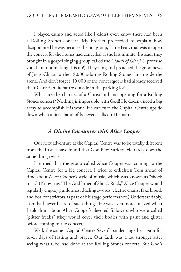I played dumb and acted like I didn't even know there had been a Rolling Stones concert. My brother proceeded to explain how disappointed he was because the hot group, Little Feat, that was to open the concert for the Stones had cancelled at the last minute. Instead, they brought in a gospel singing group called the *Clouds of Glory*! (I promise you, I am not making this up!) They sang and preached the good news of Jesus Christ to the 18,000 adoring Rolling Stones fans inside the arena. And don't forget, 10,000 of the concertgoers had already received their Christian literature outside in the parking lot!

What are the chances of a Christian band opening for a Rolling Stones concert? Nothing is impossible with God! He doesn't need a big army to accomplish His work. He can turn the Capital Centre upside down when a little band of believers calls on His name.

#### *A Divine Encounter with Alice Cooper*

Our next adventure at the Capital Centre was to be totally different from the first. I have found that God likes variety. He rarely does the same thing twice.

I learned that the group called Alice Cooper was coming to the Capital Centre for a big concert. I tried to enlighten Tom ahead of time about Alice Cooper's style of music, which was known as "shock rock." (Known as "The Godfather of Shock Rock," Alice Cooper would regularly employ guillotines, dueling swords, electric chairs, fake blood, and boa constrictors as part of his stage performance.) Understandably, Tom had never heard of such things! He was even more amazed when I told him about Alice Cooper's devoted followers who were called "glitter freaks" (they would cover their bodies with paint and glitter before coming to the concert).

Well, the same "Capital Centre Seven" banded together again for seven days of fasting and prayer. Our faith was a lot stronger after seeing what God had done at the Rolling Stones concert. But God's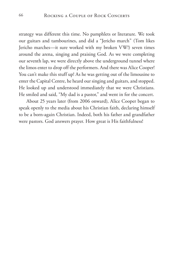strategy was different this time. No pamphlets or literature. We took our guitars and tambourines, and did a "Jericho march" (Tom likes Jericho marches—it sure worked with my broken VW!) seven times around the arena, singing and praising God. As we were completing our seventh lap, we were directly above the underground tunnel where the limos enter to drop off the performers. And there was Alice Cooper! You can't make this stuff up! As he was getting out of the limousine to enter the Capital Centre, he heard our singing and guitars, and stopped. He looked up and understood immediately that we were Christians. He smiled and said, "My dad is a pastor," and went in for the concert.

About 25 years later (from 2006 onward), Alice Cooper began to speak openly to the media about his Christian faith, declaring himself to be a born-again Christian. Indeed, both his father and grandfather were pastors. God answers prayer. How great is His faithfulness!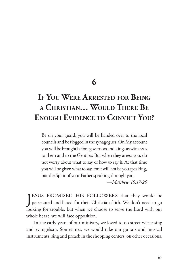# **6**

# **If You Were Arrested for Being <sup>a</sup> Christian… Would There Be Enough Evidence to Convict You?**

Be on your guard; you will be handed over to the local councils and be flogged in the synagogues. On My account you will be brought before governors and kings as witnesses to them and to the Gentiles. But when they arrest you, do not worry about what to say or how to say it. At that time you will be given what to say, for it will not be you speaking, but the Spirit of your Father speaking through you.

*—Matthew 10:17-20*

JESUS PROMISED HIS FOLLOWERS that they would be<br>persecuted and hated for their Christian faith. We don't need to go ESUS PROMISED HIS FOLLOWERS that they would be looking for trouble, but when we choose to serve the Lord with our whole heart, we will face opposition.

In the early years of our ministry, we loved to do street witnessing and evangelism. Sometimes, we would take our guitars and musical instruments, sing and preach in the shopping centers; on other occasions,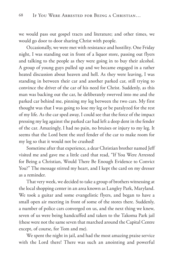we would pass out gospel tracts and literature; and other times, we would go door to door sharing Christ with people.

Occasionally, we were met with resistance and hostility. One Friday night, I was standing out in front of a liquor store, passing out flyers and talking to the people as they were going in to buy their alcohol. A group of young guys pulled up and we became engaged in a rather heated discussion about heaven and hell. As they were leaving, I was standing in between their car and another parked car, still trying to convince the driver of the car of his need for Christ. Suddenly, as this man was backing out the car, he deliberately swerved into me and the parked car behind me, pinning my leg between the two cars. My first thought was that I was going to lose my leg or be paralyzed for the rest of my life. As the car sped away, I could see that the force of the impact pressing my leg against the parked car had left a deep dent in the fender of the car. Amazingly, I had no pain, no bruises or injury to my leg. It seems that the Lord bent the steel fender of the car to make room for my leg so that it would not be crushed!

Sometime after that experience, a dear Christian brother named Jeff visited me and gave me a little card that read, "If You Were Arrested for Being a Christian, Would There Be Enough Evidence to Convict You?" The message stirred my heart, and I kept the card on my dresser as a reminder.

That very week, we decided to take a group of brothers witnessing at the local shopping center in an area known as Langley Park, Maryland. We took a guitar and some evangelistic flyers, and began to have a small open air meeting in front of some of the stores there. Suddenly, a number of police cars converged on us, and the next thing we knew, seven of us were being handcuffed and taken to the Takoma Park jail (these were not the same seven that marched around the Capital Centre except, of course, for Tom and me).

We spent the night in jail, and had the most amazing praise service with the Lord there! There was such an anointing and powerful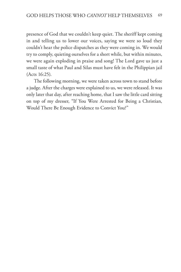presence of God that we couldn't keep quiet. The sheriff kept coming in and telling us to lower our voices, saying we were so loud they couldn't hear the police dispatches as they were coming in. We would try to comply, quieting ourselves for a short while, but within minutes, we were again exploding in praise and song! The Lord gave us just a small taste of what Paul and Silas must have felt in the Philippian jail (Acts 16:25).

The following morning, we were taken across town to stand before a judge. After the charges were explained to us, we were released. It was only later that day, after reaching home, that I saw the little card sitting on top of my dresser, "If You Were Arrested for Being a Christian, Would There Be Enough Evidence to Convict You?"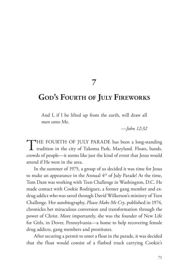**7**

## **God's Fourth of July Fireworks**

And I, if I be lifted up from the earth, will draw all men unto Me.

*—John 12:32*

THE FOURTH OF JULY PARADE has been a long-standing **1** tradition in the city of Takoma Park, Maryland. Floats, bands, crowds of people—it seems like just the kind of event that Jesus would attend if He were in the area.

In the summer of 1975, a group of us decided it was time for Jesus to make an appearance in the Annual 4<sup>th</sup> of July Parade! At the time, Tom Dant was working with Teen Challenge in Washington, D.C. He made contact with Cookie Rodriguez, a former gang member and exdrug addict who was saved through David Wilkerson's ministry of Teen Challenge. Her autobiography, *Please Make Me Cry,* published in 1974, chronicles her miraculous conversion and transformation through the power of Christ. More importantly, she was the founder of New Life for Girls, in Dover, Pennsylvania—a home to help recovering female drug addicts, gang members and prostitutes.

After securing a permit to enter a float in the parade, it was decided that the float would consist of a flatbed truck carrying Cookie's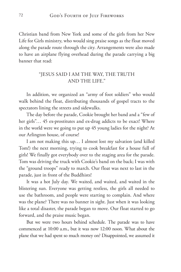Christian band from New York and some of the girls from her New Life for Girls ministry, who would sing praise songs as the float moved along the parade route through the city. Arrangements were also made to have an airplane flying overhead during the parade carrying a big banner that read:

#### "JESUS SAID I AM THE WAY, THE TRUTH AND THE LIFE."

In addition, we organized an "army of foot soldiers" who would walk behind the float, distributing thousands of gospel tracts to the spectators lining the streets and sidewalks.

The day before the parade, Cookie brought her band and a "few of her girls"... 45 ex-prostitutes and ex-drug addicts to be exact! Where in the world were we going to put up 45 young ladies for the night? At our Arlington house, of course!

I am not making this up… I almost lost my salvation (and killed Tom!) the next morning, trying to cook breakfast for a house full of girls! We finally got everybody over to the staging area for the parade. Tom was driving the truck with Cookie's band on the back; I was with the "ground troops" ready to march. Our float was next to last in the parade, just in front of the Buddhists!

It was a hot July day. We waited, and waited, and waited in the blistering sun. Everyone was getting restless, the girls all needed to use the bathroom, and people were starting to complain. And where was the plane? There was no banner in sight. Just when it was looking like a total disaster, the parade began to move. Our float started to go forward, and the praise music began.

But we were two hours behind schedule. The parade was to have commenced at 10:00 a.m., but it was now 12:00 noon. What about the plane that we had spent so much money on? Disappointed, we assumed it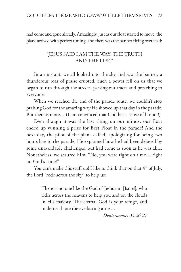had come and gone already. Amazingly, just as our float started to move, the plane arrived with perfect timing, and there was the banner flying overhead:

#### "JESUS SAID I AM THE WAY, THE TRUTH AND THE LIFE."

In an instant, we all looked into the sky and saw the banner; a thunderous roar of praise erupted. Such a power fell on us that we began to run through the streets, passing out tracts and preaching to everyone!

When we reached the end of the parade route, we couldn't stop praising God for the amazing way He showed up that day in the parade. But there is more… (I am convinced that God has a sense of humor!)

Even though it was the last thing on our minds, our float ended up winning a prize for Best Float in the parade! And the next day, the pilot of the plane called, apologizing for being two hours late to the parade. He explained how he had been delayed by some unavoidable challenges, but had come as soon as he was able. Nonetheless, we assured him, "No, you were right on time… right on God's time!"

You can't make this stuff up! I like to think that on that  $4<sup>th</sup>$  of July, the Lord "rode across the sky" to help us:

> There is no one like the God of Jeshurun [Israel], who rides across the heavens to help you and on the clouds in His majesty. The eternal God is your refuge, and underneath are the everlasting arms…

> > *—Deuteronomy 33:26-27*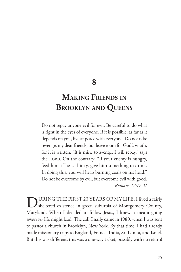### **8**

# **Making Friends in Brooklyn and Queens**

Do not repay anyone evil for evil. Be careful to do what is right in the eyes of everyone. If it is possible, as far as it depends on you, live at peace with everyone. Do not take revenge, my dear friends, but leave room for God's wrath, for it is written: "It is mine to avenge; I will repay," says the LORD. On the contrary: "If your enemy is hungry, feed him; if he is thirsty, give him something to drink. In doing this, you will heap burning coals on his head." Do not be overcome by evil, but overcome evil with good. *—Romans 12:17-21*

DURING THE FIRST 23 YEARS OF MY LIFE, I lived a fairly sheltered existence in green suburbia of Montgomery County, Maryland. When I decided to follow Jesus, I knew it meant going *wherever* He might lead. The call finally came in 1980, when I was sent to pastor a church in Brooklyn, New York. By that time, I had already made missionary trips to England, France, India, Sri Lanka, and Israel. But this was different: this was a one-way ticket, possibly with no return!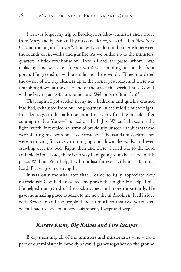I'll never forget my trip to Brooklyn. A fellow minister and I drove from Maryland by car, and by no coincidence, we arrived in New York City on the night of July  $4<sup>th</sup>$ . I honestly could not distinguish between the sounds of fireworks and gunfire! As we pulled up to the ministers' quarters, a brick row house on Lincoln Road, the pastor whom I was replacing (and was close friends with) was standing out on the front porch. He greeted us with a smile and these words: "They murdered the owner of the dry cleaners up at the corner yesterday, and there was a stabbing down at the other end of the street this week. Praise God, I will be leaving at 7:00 a.m. tomorrow. Welcome to Brooklyn!"

That night, I got settled in my new bedroom and quickly crashed into bed, exhausted from our long journey. In the middle of the night, I needed to go to the bathroom, and I made my first big mistake after coming to New York—I turned on the lights. When I flicked on the light switch, it revealed an army of previously unseen inhabitants who were sharing my bedroom—cockroaches! Thousands of cockroaches were scurrying for cover, running up and down the walls, and even crawling over my bed. Right then and there, I cried out to the Lord and told Him, "Lord, there is no way I am going to make it here in this place. Without Your help, I will not last for even 24 hours. Help me, Lord! Please give me strength."

It was only months later that I came to fully appreciate how marvelously God had answered my prayer that night: He helped me! He helped me get rid of the cockroaches, and more importantly, He gave me amazing grace to adapt to my new life in Brooklyn. I fell in love with Brooklyn and the people there, so much so that two years later, when I had to leave on a new assignment, I wept and wept.

#### *Karate Kicks, Big Knives and Fire Escapes*

Every morning, all of the ministers and missionaries who were a part of our ministry in Brooklyn would gather together on the ground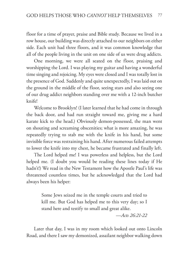floor for a time of prayer, praise and Bible study. Because we lived in a row house, our building was directly attached to our neighbors on either side. Each unit had three floors, and it was common knowledge that all of the people living in the unit on one side of us were drug addicts.

One morning, we were all seated on the floor, praising and worshipping the Lord. I was playing my guitar and having a wonderful time singing and rejoicing. My eyes were closed and I was totally lost in the presence of God. Suddenly and quite unexpectedly, I was laid out on the ground in the middle of the floor, seeing stars and also seeing one of our drug addict neighbors standing over me with a 12-inch butcher knife!

Welcome to Brooklyn! (I later learned that he had come in through the back door, and had run straight toward me, giving me a hard karate kick to the head.) Obviously demon-possessed, the man went on shouting and screaming obscenities; what is more amazing, he was repeatedly trying to stab me with the knife in his hand, but some invisible force was restraining his hand. After numerous failed attempts to lower the knife into my chest, he became frustrated and finally left.

The Lord helped me! I was powerless and helpless, but the Lord helped me. (I doubt you would be reading these lines today if He hadn't!) We read in the New Testament how the Apostle Paul's life was threatened countless times, but he acknowledged that the Lord had always been his helper:

> Some Jews seized me in the temple courts and tried to kill me. But God has helped me to this very day; so I stand here and testify to small and great alike.

> > *—Acts 26:21-22*

Later that day, I was in my room which looked out onto Lincoln Road, and there I saw my demonized, assailant neighbor walking down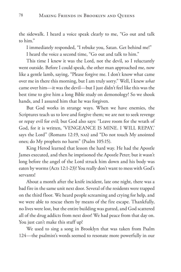the sidewalk. I heard a voice speak clearly to me, "Go out and talk to him."

I immediately responded, "I rebuke you, Satan. Get behind me!"

I heard the voice a second time, "Go out and talk to him."

This time I knew it was the Lord, not the devil, so I reluctantly went outside. Before I could speak, the other man approached me, now like a gentle lamb, saying, "Please forgive me. I don't know what came over me in there this morning, but I am truly sorry." Well, I knew *what* came over him—it was the devil—but I just didn't feel like this was the best time to give him a long Bible study on demonology! So we shook hands, and I assured him that he was forgiven.

But God works in strange ways. When we have enemies, the Scriptures teach us to love and forgive them; we are not to seek revenge or repay evil for evil; but God also says: "Leave room for the wrath of God, for it is written, 'VENGEANCE IS MINE. I WILL REPAY,' says the Lord" (Romans 12:19, nas) and "Do not touch My anointed ones; do My prophets no harm" (Psalm 105:15).

King Herod learned that lesson the hard way. He had the Apostle James executed, and then he imprisoned the Apostle Peter; but it wasn't long before the angel of the Lord struck him down and his body was eaten by worms (Acts 12:1-23)! You really don't want to mess with God's servants!

About a month after the knife incident, late one night, there was a bad fire in the same unit next door. Several of the residents were trapped on the third floor. We heard people screaming and crying for help, and we were able to rescue them by means of the fire escape. Thankfully, no lives were lost, but the entire building was gutted, and God scattered all of the drug addicts from next door! We had peace from that day on. You just can't make this stuff up!

We used to sing a song in Brooklyn that was taken from Psalm 124—the psalmist's words seemed to resonate more powerfully in our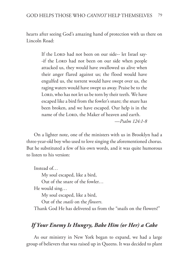hearts after seeing God's amazing hand of protection with us there on Lincoln Road:

> If the LORD had not been on our side-- let Israel say--if the LORD had not been on our side when people attacked us, they would have swallowed us alive when their anger flared against us; the flood would have engulfed us, the torrent would have swept over us, the raging waters would have swept us away. Praise be to the LORD, who has not let us be torn by their teeth. We have escaped like a bird from the fowler's snare; the snare has been broken, and we have escaped. Our help is in the name of the LORD, the Maker of heaven and earth.

*—Psalm 124:1-8*

On a lighter note, one of the ministers with us in Brooklyn had a three-year-old boy who used to love singing the aforementioned chorus. But he substituted a few of his own words, and it was quite humorous to listen to his version:

Instead of… My soul escaped, like a bird, Out of the snare of the fowler… He would sing… My soul escaped, like a bird,

Out of the *snails* on the *flowers*.

Thank God He has delivered us from the "snails on the flowers!"

### *If Your Enemy Is Hungry, Bake Him (or Her) a Cake*

As our ministry in New York began to expand, we had a large group of believers that was raised up in Queens. It was decided to plant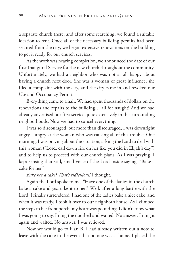a separate church there, and after some searching, we found a suitable location to rent. Once all of the necessary building permits had been secured from the city, we began extensive renovations on the building to get it ready for our church services.

As the work was nearing completion, we announced the date of our first Inaugural Service for the new church throughout the community. Unfortunately, we had a neighbor who was not at all happy about having a church next door. She was a woman of great influence; she filed a complaint with the city, and the city came in and revoked our Use and Occupancy Permit.

Everything came to a halt. We had spent thousands of dollars on the renovations and repairs to the building… all for naught! And we had already advertised our first service quite extensively in the surrounding neighborhoods. Now we had to cancel everything.

I was so discouraged, but more than discouraged, I was downright angry—angry at the woman who was causing all of this trouble. One morning, I was praying about the situation, asking the Lord to deal with this woman ("Lord, call down fire on her like you did in Elijah's day") and to help us to proceed with our church plans. As I was praying, I kept sensing that still, small voice of the Lord inside saying, "Bake a cake for her."

#### *Bake her a cake? That's ridiculous!* I thought.

Again the Lord spoke to me, "Have one of the ladies in the church bake a cake and *you* take it to her." Well, after a long battle with the Lord, I finally surrendered. I had one of the ladies bake a nice cake, and when it was ready, I took it over to our neighbor's house. As I climbed the steps to her front porch, my heart was pounding. I didn't know what I was going to say. I rang the doorbell and waited. No answer. I rang it again and waited. No answer. I was relieved.

Now we would go to Plan B. I had already written out a note to leave with the cake in the event that no one was at home. I placed the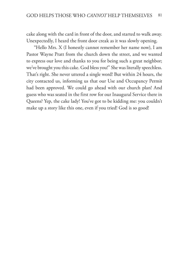cake along with the card in front of the door, and started to walk away. Unexpectedly, I heard the front door creak as it was slowly opening.

"Hello Mrs. X (I honestly cannot remember her name now), I am Pastor Wayne Pratt from the church down the street, and we wanted to express our love and thanks to you for being such a great neighbor; we've brought you this cake. God bless you!" She was literally speechless. That's right. She never uttered a single word! But within 24 hours, the city contacted us, informing us that our Use and Occupancy Permit had been approved. We could go ahead with our church plan! And guess who was seated in the first row for our Inaugural Service there in Queens? Yep, the cake lady! You've got to be kidding me: you couldn't make up a story like this one, even if you tried! God is so good!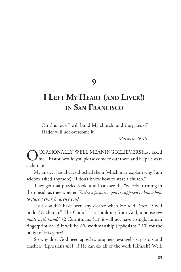**9**

# **I Left My Heart (and Liver!) in San Francisco**

On this rock I will build My church, and the gates of Hades will not overcome it.

—*Matthew 16:18*

OCCASIONALLY, WELL-MEANING BELIEVERS have asked<br>
me, "Pastor, would you please come to our town and help us start a church?"

My answer has always shocked them (which may explain why I am seldom asked anymore): "I don't know how to start a church."

They get that puzzled look, and I can see the "wheels" turning in their heads as they wonder: *You're a pastor… you're supposed to know how to start a church, aren't you?*

Jesus couldn't have been any clearer when He told Peter, "*I* will build *My* church." The Church is a "building from God, a house *not made with hands*" (2 Corinthians 5:1); it will not have a single human fingerprint on it! It will be *His* workmanship (Ephesians 2:10) for the praise of His glory!

So why does God need apostles, prophets, evangelists, pastors and teachers (Ephesians 4:11) if He can do all of the work Himself? Well,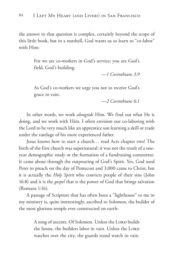the answer to that question is complex, certainly beyond the scope of this little book, but in a nutshell, God wants us to learn to "co-labor" with Him:

> For we are co-workers in God's service; you are God's field, God's building.

> > —*1 Corinthians 3:9*

As God's co-workers we urge you not to receive God's grace in vain.

—*2 Corinthians 6:1*

In other words, we work *alongside* Him. We find out what He is doing, and we work with Him. I often envision our co-laboring with the Lord to be very much like an apprentice son learning a skill or trade under the tutelage of his more experienced father.

Jesus knows how to start a church… read Acts chapter two! The birth of the first church was supernatural: it was not the result of a oneyear demographic study or the formation of a fundraising committee. It came about through the outpouring of God's Spirit. Yes, God used Peter to preach on the day of Pentecost and 3,000 came to Christ, but it is actually the *Holy Spirit* who convicts people of their sins (John 16:8) and it is the *gospel* that is the power of God that brings salvation (Romans 1:16).

A passage of Scripture that has often been a "lighthouse" to me in my ministry is, quite interestingly, ascribed to Solomon, the builder of the most glorious temple ever constructed on earth:

> A song of ascents. Of Solomon. Unless the LORD builds the house, the builders labor in vain. Unless the LORD watches over the city, the guards stand watch in vain.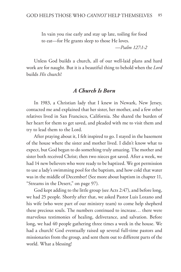In vain you rise early and stay up late, toiling for food to eat—for He grants sleep to those He loves.

*—Psalm 127:1-2*

Unless God builds a church, all of our well-laid plans and hard work are for naught. But it is a beautiful thing to behold when the *Lord* builds *His* church!

#### *A Church Is Born*

In 1983, a Christian lady that I knew in Newark, New Jersey, contacted me and explained that her sister, her mother, and a few other relatives lived in San Francisco, California. She shared the burden of her heart for them to get saved, and pleaded with me to visit them and try to lead them to the Lord.

After praying about it, I felt inspired to go. I stayed in the basement of the house where the sister and mother lived. I didn't know what to expect, but God began to do something truly amazing. The mother and sister both received Christ; then two nieces got saved. After a week, we had 14 new believers who were ready to be baptized. We got permission to use a lady's swimming pool for the baptism, and how cold that water was in the middle of December! (See more about baptism in chapter 11, "Streams in the Desert," on page 97).

God kept adding to the little group (see Acts 2:47), and before long, we had 25 people. Shortly after that, we asked Pastor Luis Lozano and his wife (who were part of our ministry team) to come help shepherd these precious souls. The numbers continued to increase… there were marvelous testimonies of healing, deliverance, and salvation. Before long, we had 40 people gathering three times a week in the house. We had a church! God eventually raised up several full-time pastors and missionaries from the group, and sent them out to different parts of the world. What a blessing!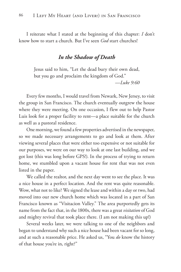I reiterate what I stated at the beginning of this chapter: *I* don't know how to start a church. But I've seen *God* start churches!

#### *In the Shadow of Death*

Jesus said to him, "Let the dead bury their own dead, but you go and proclaim the kingdom of God."

*—Luke 9:60*

Every few months, I would travel from Newark, New Jersey, to visit the group in San Francisco. The church eventually outgrew the house where they were meeting. On one occasion, I flew out to help Pastor Luis look for a proper facility to rent—a place suitable for the church as well as a pastoral residence.

One morning, we found a few properties advertised in the newspaper, so we made necessary arrangements to go and look at them. After viewing several places that were either too expensive or not suitable for our purposes, we were on our way to look at one last building, and we got lost (this was long before GPS!). In the process of trying to return home, we stumbled upon a vacant house for rent that was not even listed in the paper.

We called the realtor, and the next day went to see the place. It was a nice house in a perfect location. And the rent was quite reasonable. Wow, what not to like? We signed the lease and within a day or two, had moved into our new church home which was located in a part of San Francisco known as "Visitacion Valley." The area purportedly gets its name from the fact that, in the 1800s, there was a great *visitation* of God and mighty revival that took place there. (I am not making this up!)

Several weeks later, we were talking to one of the neighbors and began to understand why such a nice house had been vacant for so long, and at such a reasonable price. He asked us, "You *do* know the history of that house you're in, right?"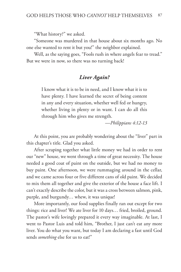"What history?" we asked.

"Someone was murdered in that house about six months ago. No one else wanted to rent it but you!" the neighbor explained.

Well, as the saying goes, "Fools rush in where angels fear to tread." But we were in now, so there was no turning back!

#### *Liver Again?*

I know what it is to be in need, and I know what it is to have plenty. I have learned the secret of being content in any and every situation, whether well fed or hungry, whether living in plenty or in want. I can do all this through him who gives me strength.

*—Philippians 4:12-13*

At this point, you are probably wondering about the "liver" part in this chapter's title. Glad you asked.

After scraping together what little money we had in order to rent our "new" house, we went through a time of great necessity. The house needed a good coat of paint on the outside, but we had no money to buy paint. One afternoon, we were rummaging around in the cellar, and we came across four or five different cans of old paint. We decided to mix them all together and give the exterior of the house a face lift. I can't exactly describe the color, but it was a cross between salmon, pink, purple, and burgundy… whew, it was unique!

More importantly, our food supplies finally ran out except for two things: rice and liver! We ate liver for 10 days… fried, broiled, ground. The pastor's wife lovingly prepared it every way imaginable. At last, I went to Pastor Luis and told him, "Brother, I just can't eat any more liver. You do what you want, but today I am declaring a fast until God sends *something* else for us to eat!"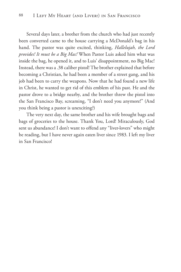Several days later, a brother from the church who had just recently been converted came to the house carrying a McDonald's bag in his hand. The pastor was quite excited, thinking, *Hallelujah, the Lord provides! It must be a Big Mac!* When Pastor Luis asked him what was inside the bag, he opened it, and to Luis' disappointment, no Big Mac! Instead, there was a .38 caliber pistol! The brother explained that before becoming a Christian, he had been a member of a street gang, and his job had been to carry the weapons. Now that he had found a new life in Christ, he wanted to get rid of this emblem of his past. He and the pastor drove to a bridge nearby, and the brother threw the pistol into the San Francisco Bay, screaming, "I don't need you anymore!" (And you think being a pastor is unexciting?)

The very next day, the same brother and his wife brought bags and bags of groceries to the house. Thank You, Lord! Miraculously, God sent us abundance! I don't want to offend any "liver-lovers" who might be reading, but I have never again eaten liver since 1983. I left my liver in San Francisco!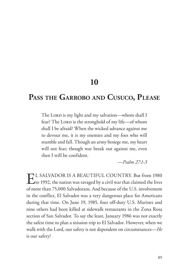## **10**

## **Pass the Garrobo and Cusuco, Please**

The Lorp is my light and my salvation—whom shall I fear? The Lorp is the stronghold of my life—of whom shall I be afraid? When the wicked advance against me to devour me, it is my enemies and my foes who will stumble and fall. Though an army besiege me, my heart will not fear; though war break out against me, even then I will be confident.

*—Psalm 27:1-3*

EL SALVADOR IS A BEAUTIFUL COUNTRY. But from 1980<br>to 1992, the nation was ravaged by a civil war that claimed the lives of more than 75,000 Salvadorans. And because of the U.S. involvement in the conflict, El Salvador was a very dangerous place for Americans during that time. On June 19, 1985, four off-duty U.S. Marines and nine others had been killed at sidewalk restaurants in the Zona Rosa section of San Salvador. To say the least, January 1986 was not exactly the safest time to plan a mission trip to El Salvador. However, when we walk with the Lord, our safety is not dependent on circumstances—*He* is our safety!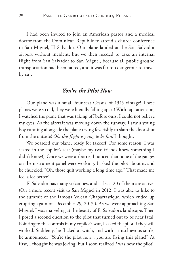I had been invited to join an American pastor and a medical doctor from the Dominican Republic to attend a church conference in San Miguel, El Salvador. Our plane landed at the San Salvador airport without incident, but we then needed to take an internal flight from San Salvador to San Miguel, because all public ground transportation had been halted, and it was far too dangerous to travel by car.

#### *You're the Pilot Now*

Our plane was a small four-seat Cessna of 1945 vintage! These planes were so old, they were literally falling apart! With rapt attention, I watched the plane that was taking off before ours; I could not believe my eyes. As the aircraft was moving down the runway, I saw a young boy running alongside the plane trying feverishly to slam the door shut from the outside! *Oh, this flight is going to be fun!* I thought.

We boarded our plane, ready for takeoff. For some reason, I was seated in the copilot's seat (maybe my two friends knew something I didn't know!). Once we were airborne, I noticed that none of the gauges on the instrument panel were working. I asked the pilot about it, and he chuckled, "Oh, those quit working a long time ago." That made me feel a lot better!

El Salvador has many volcanoes, and at least 20 of them are active. (On a more recent visit to San Miguel in 2012, I was able to hike to the summit of the famous Volcán Chaparrastique, which ended up erupting again on December 29, 2013!). As we were approaching San Miguel, I was marveling at the beauty of El Salvador's landscape. Then I posed a second question to the pilot that turned out to be near fatal. Pointing to the controls in my copilot's seat, I asked the pilot if they still worked. Suddenly, he flicked a switch, and with a mischievous smile, he announced, "You're the pilot now... you are flying this plane!" At first, I thought he was joking, but I soon realized *I* was now the pilot!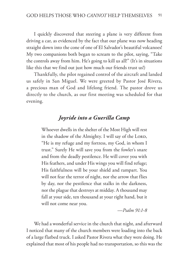I quickly discovered that steering a plane is very different from driving a car, as evidenced by the fact that our plane was now heading straight down into the cone of one of El Salvador's beautiful volcanoes! My two companions both began to scream to the pilot, saying, "Take the controls away from him. He's going to kill us all!" (It's in situations like this that we find out just how much our friends trust us!)

Thankfully, the pilot regained control of the aircraft and landed us safely in San Miguel. We were greeted by Pastor José Rivera, a precious man of God and lifelong friend. The pastor drove us directly to the church, as our first meeting was scheduled for that evening.

#### *Joyride into a Guerilla Camp*

Whoever dwells in the shelter of the Most High will rest in the shadow of the Almighty. I will say of the LORD, "He is my refuge and my fortress, my God, in whom I trust." Surely He will save you from the fowler's snare and from the deadly pestilence. He will cover you with His feathers, and under His wings you will find refuge; His faithfulness will be your shield and rampart. You will not fear the terror of night, nor the arrow that flies by day, nor the pestilence that stalks in the darkness, nor the plague that destroys at midday. A thousand may fall at your side, ten thousand at your right hand, but it will not come near you.

*—Psalm 91:1-8*

We had a wonderful service in the church that night, and afterward I noticed that many of the church members were loading into the back of a large flatbed truck. I asked Pastor Rivera what they were doing. He explained that most of his people had no transportation, so this was the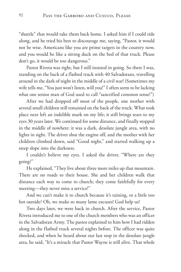"shuttle" that would take them back home. I asked him if I could ride along, and he tried his best to discourage me, saying, "Pastor, it would not be wise. Americans like you are prime targets in the country now, and you would be like a sitting duck on the bed of that truck. Please don't go, it would be too dangerous."

Pastor Rivera was right, but I still insisted in going. So there I was, standing on the back of a flatbed truck with 40 Salvadorans, travelling around in the dark of night in the middle of a civil war! (Sometimes my wife tells me, "You just won't listen, will you!" I often seem to be lacking what one senior man of God used to call "sanctified common sense!")

After we had dropped off most of the people, one mother with several small children still remained on the back of the truck. What took place next left an indelible mark on my life; it still brings tears to my eyes 30 years later. We continued for some distance, and finally stopped in the middle of nowhere: it was a dark, desolate jungle area, with no lights in sight. The driver shut the engine off, and the mother with her children climbed down, said "Good night," and started walking up a steep slope into the darkness.

I couldn't believe my eyes. I asked the driver, "Where are they going?"

He explained, "They live about three more miles up that mountain. There are no roads to their house. She and her children walk that distance each way to come to church; they come faithfully for every meeting—they never miss a service!"

And we can't make it to church because it's raining, or a little too hot outside? Oh, we make so many lame excuses! God help us!

Two days later, we were back in church. After the service, Pastor Rivera introduced me to one of the church members who was an officer in the Salvadoran Army. The pastor explained to him how I had ridden along in the flatbed truck several nights before. The officer was quite shocked, and when he heard about our last stop in the desolate jungle area, he said, "It's a miracle that Pastor Wayne is still alive. That whole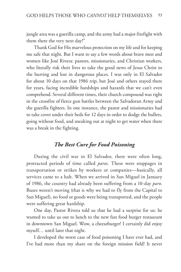jungle area was a guerilla camp, and the army had a major firefight with them there the very next day!"

Thank God for His marvelous protection on my life and for keeping me safe that night. But I want to say a few words about brave men and women like José Rivera: pastors, missionaries, and Christian workers, who literally risk their lives to take the good news of Jesus Christ to the hurting and lost in dangerous places. I was only in El Salvador for about 10 days on that 1986 trip, but José and others stayed there for years, facing incredible hardships and hazards that we can't even comprehend. Several different times, their church compound was right in the crossfire of fierce gun battles between the Salvadoran Army and the guerilla fighters. In one instance, the pastor and missionaries had to take cover under their beds for 12 days in order to dodge the bullets, going without food, and sneaking out at night to get water when there was a break in the fighting.

#### *The Best Cure for Food Poisoning*

During the civil war in El Salvador, there were often long, protracted periods of time called *paros*. These were stoppages in transportation or strikes by workers or companies—basically, all services came to a halt. When we arrived in San Miguel in January of 1986, the country had already been suffering from a 10-day *paro*. Buses weren't moving (that is why we had to fly from the Capital to San Miguel), no food or goods were being transported, and the people were suffering great hardship.

One day, Pastor Rivera told us that he had a surprise for us: he wanted to take us out to lunch to the new fast food burger restaurant in downtown San Miguel. Wow, a cheeseburger! I certainly did enjoy myself… until later that night.

I developed the worst case of food poisoning I have ever had, and I've had more than my share on the foreign mission field! It never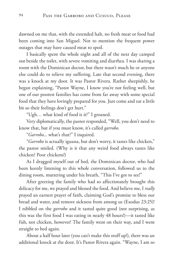dawned on me that, with the extended halt, no fresh meat or food had been coming into San Miguel. Not to mention the frequent power outages that may have caused meat to spoil.

I basically spent the whole night and all of the next day camped out beside the toilet, with severe vomiting and diarrhea. I was sharing a room with the Dominican doctor, but there wasn't much he or anyone else could do to relieve my suffering. Late that second evening, there was a knock at my door. It was Pastor Rivera. Rather sheepishly, he began explaining, "Pastor Wayne, I know you're not feeling well, but one of our poorest families has come from far away with some special food that they have lovingly prepared for you. Just come and eat a little bit so their feelings don't get hurt."

"Ugh… what kind of food is it?" I groaned.

Very diplomatically, the pastor responded, "Well, you don't need to know that, but if you must know, it's called *garrobo*.

"*Garrobo*... what's that?" I inquired.

"*Garrobo* is actually iguana, but don't worry, it tastes like chicken," the pastor smiled. (Why is it that any weird food always tastes like chicken? Poor chickens!)

As I dragged myself out of bed, the Dominican doctor, who had been keenly listening to this whole conversation, followed us to the dining room, muttering under his breath, "This I've got to see!"

After greeting the family who had so affectionately brought this delicacy for me, we prayed and blessed the food. And believe me, I *really* prayed an earnest prayer of faith, claiming God's promise to bless our bread and water, and remove sickness from among us (Exodus 23:25)! I nibbled on the *garrobo* and it tasted quite good (not surprising, as this was the first food I was eating in nearly 48 hours!)—it tasted like fish, not chicken, however! The family went on their way, and I went straight to bed again.

About a half hour later (you can't make this stuff up!), there was an additional knock at the door. It's Pastor Rivera again. "Wayne, I am so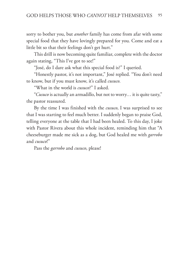sorry to bother you, but *another* family has come from afar with some special food that they have lovingly prepared for you. Come and eat a little bit so that their feelings don't get hurt."

This drill is now becoming quite familiar, complete with the doctor again stating, "This I've got to see!"

"José, do I dare ask what this special food is?" I queried.

"Honestly pastor, it's not important," José replied. "You don't need to know, but if you must know, it's called *cusuco*.

"What in the world is *cusuco*?" I asked.

"*Cusuco* is actually an armadillo, but not to worry… it is quite tasty," the pastor reassured.

By the time I was finished with the *cusuco*, I was surprised to see that I was starting to feel much better. I suddenly began to praise God, telling everyone at the table that I had been healed. To this day, I joke with Pastor Rivera about this whole incident, reminding him that "A cheeseburger made me sick as a dog, but God healed me with *garrobo* and *cusuco*!"

Pass the *garrobo* and *cusuco*, please!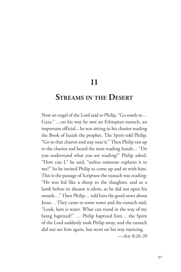**11**

### **Streams in the Desert**

Now an angel of the Lord said to Philip, "Go south to… Gaza." …on his way he met an Ethiopian eunuch, an important official... he was sitting in his chariot reading the Book of Isaiah the prophet. The Spirit told Philip, "Go to that chariot and stay near it." Then Philip ran up to the chariot and heard the man reading Isaiah… "Do you understand what you are reading?" Philip asked. "How can I," he said, "unless someone explains it to me?" So he invited Philip to come up and sit with him. This is the passage of Scripture the eunuch was reading: "He was led like a sheep to the slaughter, and as a lamb before its shearer is silent, so he did not open his mouth…" Then Philip… told him the good news about Jesus… They came to some water and the eunuch said, "Look, here is water. What can stand in the way of my being baptized?" … Philip baptized him… the Spirit of the Lord suddenly took Philip away, and the eunuch did not see him again, but went on his way rejoicing. *—Acts 8:26-39*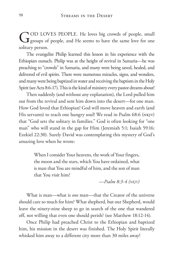OD LOVES PEOPLE. He loves big crowds of people, small  $\mathbf J$  groups of people, and He seems to have the same love for one solitary person.

The evangelist Philip learned this lesson in his experience with the Ethiopian eunuch. Philip was at the height of revival in Samaria—he was preaching to "crowds" in Samaria, and many were being saved, healed, and delivered of evil spirits. There were numerous miracles, signs, and wonders, and many were being baptized in water and receiving the baptism in the Holy Spirit (see Acts 8:6-17). This is the kind of ministry every pastor dreams about!

Then suddenly (and without any explanation), the Lord pulled him out from the revival and sent him down into the desert—for one man. How God loved that Ethiopian! God will move heaven and earth (and His servants) to reach one hungry soul! We read in Psalm 68:6 (NKJV) that "God sets the solitary in families." God is often looking for "one man" who will stand in the gap for Him (Jeremiah 5:1; Isaiah 59:16; Ezekiel 22:30). Surely David was contemplating this mystery of God's amazing love when he wrote:

> When I consider Your heavens, the work of Your fingers, the moon and the stars, which You have ordained, what is man that You are mindful of him, and the son of man that You visit him?

> > *—Psalm 8:3-4 (nkjv)*

What is man—what is *one* man—that the Creator of the universe should care so much for him? What shepherd, but our Shepherd, would leave the ninety-nine sheep to go in search of the one that wandered off, not willing that even one should perish? (see Matthew 18:12-14).

Once Philip had preached Christ to the Ethiopian and baptized him, his mission in the desert was finished. The Holy Spirit literally whisked him away to a different city more than 30 miles away!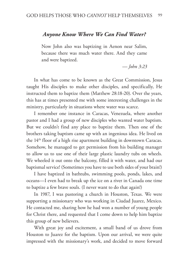#### *Anyone Know Where We Can Find Water?*

Now John also was baptizing in Aenon near Salim, because there was much water there. And they came and were baptized.

*— John 3:23*

In what has come to be known as the Great Commission, Jesus taught His disciples to make other disciples, and specifically, He instructed them to baptize them (Matthew 28:18-20). Over the years, this has at times presented me with some interesting challenges in the ministry, particularly in situations where water was scarce.

I remember one instance in Caracas, Venezuela, where another pastor and I had a group of new disciples who wanted water baptism. But we couldn't find any place to baptize them. Then one of the brothers taking baptism came up with an ingenious idea. He lived on the 14th floor of a high rise apartment building in downtown Caracas. Somehow, he managed to get permission from his building manager to allow us to use one of their large plastic laundry tubs on wheels. We wheeled it out onto the balcony, filled it with water, and had our baptismal service! (Sometimes you have to use both sides of your brain!)

I have baptized in bathtubs, swimming pools, ponds, lakes, and oceans—I even had to break up the ice on a river in Canada one time to baptize a few brave souls. (I never want to do that again!)

In 1987, I was pastoring a church in Houston, Texas. We were supporting a missionary who was working in Ciudad Juarez, Mexico. He contacted me, sharing how he had won a number of young people for Christ there, and requested that I come down to help him baptize this group of new believers.

With great joy and excitement, a small band of us drove from Houston to Juarez for the baptism. Upon our arrival, we were quite impressed with the missionary's work, and decided to move forward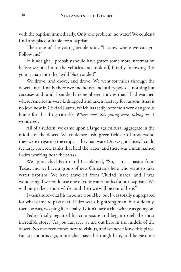with the baptism immediately. Only one problem: no water! We couldn't find any place suitable for a baptism.

Then one of the young people said, "I know where we can go. Follow me!"

In hindsight, I probably should have gotten some more information before we piled into the vehicles and took off, blindly following this young man into the "wild blue yonder!"

We drove, and drove, and drove. We went for miles through the desert, until finally there were no houses, no utility poles… nothing but cactuses and sand! I suddenly remembered movies that I had watched where Americans were kidnapped and taken hostage for ransom (that is no joke now in Ciudad Juarez, which has sadly become a very dangerous home for the drug cartels). *Where was this young man taking us?* I wondered.

All of a sudden, we came upon a large agricultural aggregate in the middle of the desert. We could see lush, green fields, so I understood they were irrigating the crops—they had water! As we got closer, I could see large concrete tanks that held the water, and there was a man named Pedro working near the tanks.

We approached Pedro and I explained, "Sir, I am a pastor from Texas, and we have a group of new Christians here who want to take water baptism. We have travelled from Ciudad Juarez, and I was wondering if we could use one of your water tanks for our baptism. We will only take a short while, and then we will be out of here."

I wasn't sure what his response would be, but I was totally unprepared for what came to pass next. Pedro was a big strong man, but suddenly, there he was, weeping like a baby. I didn't have a clue what was going on.

Pedro finally regained his composure and began to tell the most incredible story: "As you can see, we are out here in the middle of the desert. No one ever comes here to visit us, and we never leave this place. But six months ago, a preacher passed through here, and he gave me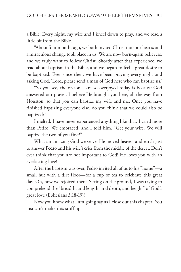a Bible. Every night, my wife and I kneel down to pray, and we read a little bit from the Bible.

"About four months ago, we both invited Christ into our hearts and a miraculous change took place in us. We are now born-again believers, and we truly want to follow Christ. Shortly after that experience, we read about baptism in the Bible, and we began to feel a great desire to be baptized. Ever since then, we have been praying every night and asking God, 'Lord, please send a man of God here who can baptize us.'

"So you see, the reason I am so overjoyed today is because God answered our prayer. I believe He brought you here, all the way from Houston, so that you can baptize my wife and me. Once you have finished baptizing everyone else, do you think that we could also be baptized?"

I melted. I have never experienced anything like that. I cried more than Pedro! We embraced, and I told him, "Get your wife. We will baptize the two of you first!"

What an amazing God we serve. He moved heaven and earth just to answer Pedro and his wife's cries from the middle of the desert. Don't ever think that you are not important to God! He loves you with an everlasting love!

After the baptism was over, Pedro invited all of us to his "home"—a small hut with a dirt floor—for a cup of tea to celebrate this great day. Oh, how we rejoiced there! Sitting on the ground, I was trying to comprehend the "breadth, and length, and depth, and height" of God's great love (Ephesians 3:18-19)!

Now you know what I am going say as I close out this chapter: You just can't make this stuff up!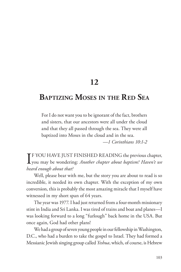### **12**

# **Baptizing Moses in the Red Sea**

For I do not want you to be ignorant of the fact, brothers and sisters, that our ancestors were all under the cloud and that they all passed through the sea. They were all baptized into Moses in the cloud and in the sea.

*—1 Corinthians 10:1-2*

I<sup>F</sup> YOU HAVE JUST FINISHED READING the previous chapter,<br>you may be wondering: *Another chapter about baptism? Haven't we* **T** F YOU HAVE JUST FINISHED READING the previous chapter, *heard enough about that?*

Well, please bear with me, but the story you are about to read is so incredible, it needed its own chapter. With the exception of my own conversion, this is probably the most amazing miracle that I myself have witnessed in my short span of 64 years.

The year was 1977. I had just returned from a four-month missionary stint in India and Sri Lanka. I was tired of trains and boat and planes—I was looking forward to a long "furlough" back home in the USA. But once again, God had other plans!

We had a group of seven young people in our fellowship in Washington, D.C., who had a burden to take the gospel to Israel. They had formed a Messianic Jewish singing group called *Yeshua*, which, of course, is Hebrew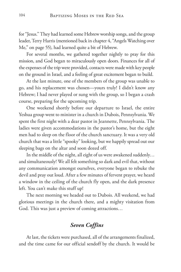for "Jesus." They had learned some Hebrew worship songs, and the group leader, Terry Harris (mentioned back in chapter 4, "Angels Watching over Me," on page 55), had learned quite a bit of Hebrew.

For several months, we gathered together nightly to pray for this mission, and God began to miraculously open doors. Finances for all of the expenses of the trip were provided, contacts were made with key people on the ground in Israel, and a feeling of great excitement began to build.

At the last minute, one of the members of the group was unable to go, and his replacement was chosen—yours truly! I didn't know any Hebrew; I had never played or sung with the group, so I began a crash course, preparing for the upcoming trip.

One weekend shortly before our departure to Israel, the entire Yeshua group went to minister in a church in Dubois, Pennsylvania. We spent the first night with a dear pastor in Jeannette, Pennsylvania. The ladies were given accommodations in the pastor's home, but the eight men had to sleep on the floor of the church sanctuary. It was a very old church that was a little "spooky" looking, but we happily spread out our sleeping bags on the altar and soon dozed off.

In the middle of the night, all eight of us were awakened suddenly… and simultaneously! We all felt something so dark and evil that, without any communication amongst ourselves, everyone began to rebuke the devil and pray out loud. After a few minutes of fervent prayer, we heard a window in the ceiling of the church fly open, and the dark presence left. You can't make this stuff up!

The next morning we headed out to Dubois. All weekend, we had glorious meetings in the church there, and a mighty visitation from God. This was just a preview of coming attractions…

### *Seven Coffins*

At last, the tickets were purchased, all of the arrangements finalized, and the time came for our official sendoff by the church. It would be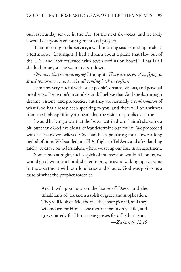our last Sunday service in the U.S. for the next six weeks, and we truly coveted everyone's encouragement and prayers.

That morning in the service, a well-meaning sister stood up to share a testimony: "Last night, I had a dream about a plane that flew out of the U.S., and later returned with seven coffins on board." That is all she had to say, so she went and sat down.

*Oh, now that's encouraging!* I thought. *There are seven of us flying to Israel tomorrow… and we're all coming back in coffins!*

I am now very careful with other people's dreams, visions, and personal prophecies. Please don't misunderstand: I believe that God speaks through dreams, visions, and prophecies, but they are normally a *confirmation* of what God has already been speaking to you, and there will be a witness from the Holy Spirit in your heart that the vision or prophecy is true.

I would be lying to say that the "seven coffin dream" didn't shake me a bit, but thank God, we didn't let fear determine our course. We proceeded with the plans we believed God had been preparing for us over a long period of time. We boarded our El Al flight to Tel Aviv, and after landing safely, we drove on to Jerusalem, where we set up our base in an apartment.

Sometimes at night, such a spirit of intercession would fall on us, we would go down into a bomb shelter to pray, to avoid waking up everyone in the apartment with our loud cries and shouts. God was giving us a taste of what the prophet foretold:

> And I will pour out on the house of David and the inhabitants of Jerusalem a spirit of grace and supplication. They will look on Me, the one they have pierced, and they will mourn for Him as one mourns for an only child, and grieve bitterly for Him as one grieves for a firstborn son. *—Zechariah 12:10*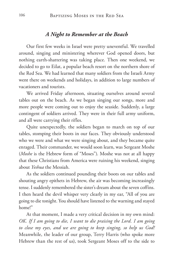#### *A Night to Remember at the Beach*

Our first few weeks in Israel were pretty uneventful. We travelled around, singing and ministering wherever God opened doors, but nothing earth-shattering was taking place. Then one weekend, we decided to go to Eilat, a popular beach resort on the northern shore of the Red Sea. We had learned that many soldiers from the Israeli Army went there on weekends and holidays, in addition to large numbers of vacationers and tourists.

We arrived Friday afternoon, situating ourselves around several tables out on the beach. As we began singing our songs, more and more people were coming out to enjoy the seaside. Suddenly, a large contingent of soldiers arrived. They were in their full army uniform, and all were carrying their rifles.

Quite unexpectedly, the soldiers began to march on top of our tables, stomping their boots in our faces. They obviously understood who we were and what we were singing about, and they became quite enraged. Their commander, we would soon learn, was Sergeant Moshe (*Moshe* is the Hebrew form of "Moses"). Moshe was not at all happy that these Christians from America were ruining his weekend, singing about *Yeshua* the Messiah.

As the soldiers continued pounding their boots on our tables and shouting angry epithets in Hebrew, the air was becoming increasingly tense. I suddenly remembered the sister's dream about the seven coffins. I then heard the devil whisper very clearly in my ear, "All of you are going to die tonight. You should have listened to the warning and stayed home!"

At that moment, I made a very critical decision in my own mind: *OK. If I am going to die, I want to die praising the Lord. I am going to close my eyes, and we are going to keep singing, so help us God!* Meanwhile, the leader of our group, Terry Harris (who spoke more Hebrew than the rest of us), took Sergeant Moses off to the side to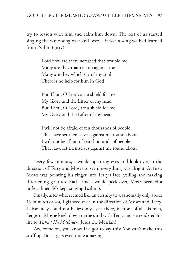try to reason with him and calm him down. The rest of us started singing the same song over and over… it was a song we had learned from Psalm 3 (kjv):

> Lord how are they increased that trouble me Many are they that rise up against me Many are they which say of my soul There is no help for him in God

But Thou, O Lord, art a shield for me My Glory and the Lifter of my head But Thou, O Lord, art a shield for me My Glory and the Lifter of my head

I will not be afraid of ten thousands of people That have set themselves against me round about I will not be afraid of ten thousands of people That have set themselves against me round about

Every few minutes, I would open my eyes and look over in the direction of Terry and Moses to see if everything was alright. At first, Moses was pointing his finger into Terry's face, yelling and making threatening gestures. Each time I would peek over, Moses seemed a little calmer. We kept singing Psalm 3.

Finally, after what seemed like an eternity (it was actually only about 15 minutes or so), I glanced over in the direction of Moses and Terry. I absolutely could not believe my eyes: there, in front of all his men, Sergeant Moshe knelt down in the sand with Terry and surrendered his life to *Yeshua Ha Mashiach*: Jesus the Messiah!

Aw, come on, you know I've got to say this: You can't make this stuff up! But it gets even more amazing.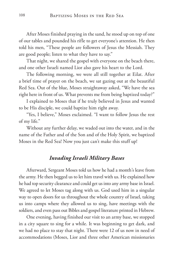After Moses finished praying in the sand, he stood up on top of one of our tables and pounded his rifle to get everyone's attention. He then told his men, "These people are followers of Jesus the Messiah. They are good people; listen to what they have to say."

That night, we shared the gospel with everyone on the beach there, and one other Israeli named Lior also gave his heart to the Lord.

The following morning, we were all still together at Eilat. After a brief time of prayer on the beach, we sat gazing out at the beautiful Red Sea. Out of the blue, Moses straightaway asked, "We have the sea right here in front of us. What prevents me from being baptized today?"

I explained to Moses that if he truly believed in Jesus and wanted to be His disciple, we could baptize him right away.

"Yes, I believe," Moses exclaimed. "I want to follow Jesus the rest of my life."

Without any further delay, we waded out into the water, and in the name of the Father and of the Son and of the Holy Spirit, we baptized Moses in the Red Sea! Now you just can't make this stuff up!

#### *Invading Israeli Military Bases*

Afterward, Sergeant Moses told us how he had a month's leave from the army. He then begged us to let him travel with us. He explained how he had top security clearance and could get us into any army base in Israel. We agreed to let Moses tag along with us. God used him in a singular way to open doors for us throughout the whole country of Israel, taking us into camps where they allowed us to sing, have meetings with the soldiers, and even pass out Bibles and gospel literature printed in Hebrew.

One evening, having finished our visit to an army base, we stopped in a city square to sing for a while. It was beginning to get dark, and we had no place to stay that night. There were 12 of us now in need of accommodations (Moses, Lior and three other American missionaries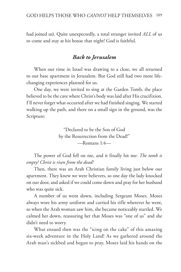had joined us). Quite unexpectedly, a total stranger invited *ALL* of us to come and stay at his house that night! God is faithful.

### *Back to Jerusalem*

When our time in Israel was drawing to a close, we all returned to our base apartment in Jerusalem. But God still had two more lifechanging experiences planned for us.

One day, we were invited to sing at the Garden Tomb, the place believed to be the cave where Christ's body was laid after His crucifixion. I'll never forget what occurred after we had finished singing. We started walking up the path, and there on a small sign in the ground, was the Scripture:

> "Declared to be the Son of God by the Resurrection from the Dead!" —Romans 1:4—

The power of God fell on me, and it finally hit me: *The tomb is empty! Christ is risen from the dead!*

Then, there was an Arab Christian family living just below our apartment. They knew we were believers, so one day the lady knocked on our door, and asked if we could come down and pray for her husband who was quite sick.

A number of us went down, including Sergeant Moses. Moses always wore his army uniform and carried his rifle wherever he went, so when the Arab woman saw him, she became noticeably startled. We calmed her down, reassuring her that Moses was "one of us" and she didn't need to worry.

What ensued then was the "icing on the cake" of this amazing six-week adventure in the Holy Land! As we gathered around the Arab man's sickbed and began to pray, Moses laid his hands on the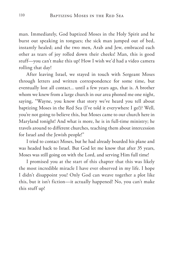man. Immediately, God baptized Moses in the Holy Spirit and he burst out speaking in tongues; the sick man jumped out of bed, instantly healed; and the two men, Arab and Jew, embraced each other as tears of joy rolled down their cheeks! Man, this is good stuff—you can't make this up! How I wish we'd had a video camera rolling that day!

After leaving Israel, we stayed in touch with Sergeant Moses through letters and written correspondence for some time, but eventually lost all contact... until a few years ago, that is. A brother whom we knew from a large church in our area phoned me one night, saying, "Wayne, you know that story we've heard you tell about baptizing Moses in the Red Sea (I've told it everywhere I go!)? Well, you're not going to believe this, but Moses came to our church here in Maryland tonight! And what is more, he is in full-time ministry; he travels around to different churches, teaching them about intercession for Israel and the Jewish people!"

I tried to contact Moses, but he had already boarded his plane and was headed back to Israel. But God let me know that after 35 years, Moses was still going on with the Lord, and serving Him full time!

I promised you at the start of this chapter that this was likely the most incredible miracle I have ever observed in my life. I hope I didn't disappoint you! Only God can weave together a plot like this, but it isn't fiction—it actually happened! No, you can't make this stuff up!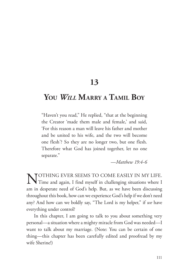**13**

## **You** *Will* **Marry <sup>a</sup> Tamil Boy**

"Haven't you read," He replied, "that at the beginning the Creator 'made them male and female,' and said, 'For this reason a man will leave his father and mother and be united to his wife, and the two will become one flesh'? So they are no longer two, but one flesh. Therefore what God has joined together, let no one separate."

*—Matthew 19:4-6*

NOTHING EVER SEEMS TO COME EASILY IN MY LIFE.<br>Time and again, I find myself in challenging situations where I am in desperate need of God's help. But, as we have been discussing throughout this book, how can we experience God's help if we don't need any? And how can we boldly say, "The Lord is my helper," if *we* have everything under control?

In this chapter, I am going to talk to you about something very personal—a situation where a mighty miracle from God was needed—I want to talk about my marriage. (Note: You can be certain of one thing—this chapter has been carefully edited and proofread by my wife Sherine!)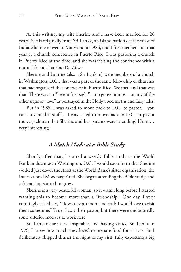At this writing, my wife Sherine and I have been married for 26 years. She is originally from Sri Lanka, an island nation off the coast of India. Sherine moved to Maryland in 1984, and I first met her later that year at a church conference in Puerto Rico. I was pastoring a church in Puerto Rico at the time, and she was visiting the conference with a mutual friend, Laurine De Zilwa.

Sherine and Laurine (also a Sri Lankan) were members of a church in Washington, D.C., that was a part of the same fellowship of churches that had organized the conference in Puerto Rico. We met, and that was that! There was no "love at first sight"—no goose bumps—or any of the other signs of "love" as portrayed in the Hollywood myths and fairy tales!

But in 1985, I was asked to move back to D.C. to pastor… you can't invent this stuff… I was asked to move back to D.C. to pastor the very church that Sherine and her parents were attending! Hmm… very interesting!

#### *A Match Made at a Bible Study*

Shortly after that, I started a weekly Bible study at the World Bank in downtown Washington, D.C. I would soon learn that Sherine worked just down the street at the World Bank's sister organization, the International Monetary Fund. She began attending the Bible study, and a friendship started to grow.

Sherine is a very beautiful woman, so it wasn't long before I started wanting this to become more than a "friendship." One day, I very cunningly asked her, "How are your mom and dad? I would love to visit them sometime." True, I *was* their pastor, but there were undoubtedly some ulterior motives at work here!

Sri Lankans are very hospitable, and having visited Sri Lanka in 1976, I knew how much they loved to prepare food for visitors. So I deliberately skipped dinner the night of my visit, fully expecting a big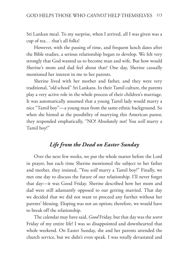Sri Lankan meal. To my surprise, when I arrived, all I was given was a cup of tea… that's all folks!

However, with the passing of time, and frequent lunch dates after the Bible studies, a serious relationship began to develop. We felt very strongly that God wanted us to become man and wife. But how would Sherine's mom and dad feel about that? One day, Sherine casually mentioned her interest in me to her parents.

Sherine lived with her mother and father, and they were very traditional, "old school" Sri Lankans. In their Tamil culture, the parents play a very active role in the whole process of their children's marriage. It was automatically assumed that a young Tamil lady would marry a nice "Tamil boy"—a young man from the same ethnic background. So when she hinted at the possibility of marrying this American pastor, they responded emphatically, "NO! Absolutely not! You *will* marry a Tamil boy!"

### *Life from the Dead on Easter Sunday*

Over the next few weeks, we put the whole matter before the Lord in prayer, but each time Sherine mentioned the subject to her father and mother, they insisted, "You *will* marry a Tamil boy!" Finally, we met one day to discuss the future of our relationship. I'll never forget that day—it was Good Friday. Sherine described how her mom and dad were still adamantly opposed to our getting married. That day we decided that we did not want to proceed any further without her parents' blessing. Eloping was not an option; therefore, we would have to break off the relationship.

The calendar may have said, *Good* Friday, but that day was the *worst* Friday of my entire life! I was so disappointed and downhearted that whole weekend. On Easter Sunday, she and her parents attended the church service, but we didn't even speak. I was totally devastated and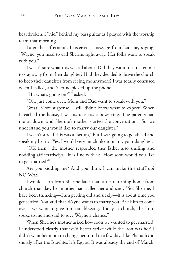heartbroken. I "hid" behind my bass guitar as I played with the worship team that morning.

Later that afternoon, I received a message from Laurine, saying, "Wayne, you need to call Sherine right away. Her folks want to speak with you."

I wasn't sure what this was all about. Did they want to threaten me to stay away from their daughter? Had they decided to leave the church to keep their daughter from seeing me anymore? I was totally confused when I called, and Sherine picked up the phone.

"Hi, what's going on?" I asked.

"Oh, just come over. Mom and Dad want to speak with you."

Great! More suspense. I still didn't know what to expect! When I reached the house, I was as tense as a bowstring. The parents had me sit down, and Sherine's mother started the conversation: "So, we understand you would like to marry our daughter."

I wasn't sure if this was a "set-up," but I was going to go ahead and speak my heart: "Yes, I would very much like to marry your daughter."

"OK then," the mother responded (her father also smiling and nodding affirmatively). "It is fine with us. How soon would you like to get married?"

Are you kidding me? And you think I can make this stuff up? NO WAY!

I would learn from Sherine later that, after returning home from church that day, her mother had called her and said, "So, Sherine, I have been thinking—I am getting old and sickly—it is about time you get settled. You said that Wayne wants to marry you. Ask him to come over—we want to give him our blessing. Today at church, the Lord spoke to me and said to give Wayne a chance."

When Sherine's mother asked how soon we wanted to get married, I understood clearly that we'd better strike while the iron was hot! I didn't want her mom to change her mind in a few days like Pharaoh did shortly after the Israelites left Egypt! It was already the end of March,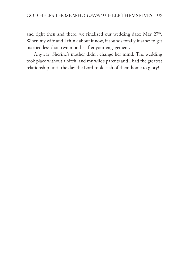and right then and there, we finalized our wedding date: May  $27<sup>th</sup>$ . When my wife and I think about it now, it sounds totally insane: to get married less than two months after your engagement.

Anyway, Sherine's mother didn't change her mind. The wedding took place without a hitch, and my wife's parents and I had the greatest relationship until the day the Lord took each of them home to glory!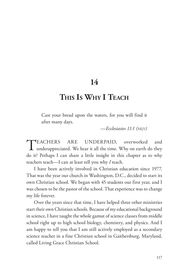**14**

## **This Is Why I Teach**

Cast your bread upon the waters, for you will find it after many days.

*—Ecclesiastes 11:1 (nkjv)*

TEACHERS ARE UNDERPAID, overworked and underappreciated. We hear it all the time. Why on earth do they do it? Perhaps I can share a little insight in this chapter as to why teachers teach—I can at least tell you why *I* teach.

I have been actively involved in Christian education since 1977. That was the year our church in Washington, D.C., decided to start its own Christian school. We began with 45 students our first year, and I was chosen to be the pastor of the school. That experience was to change my life forever.

Over the years since that time, I have helped three other ministries start their own Christian schools. Because of my educational background in science, I have taught the whole gamut of science classes from middle school right up to high school biology, chemistry, and physics. And I am happy to tell you that I am still actively employed as a secondary science teacher in a fine Christian school in Gaithersburg, Maryland, called Living Grace Christian School.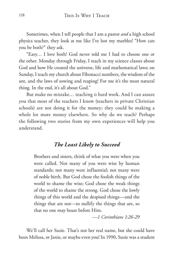Sometimes, when I tell people that I am a pastor *and* a high school physics teacher, they look at me like I've lost my marbles! "How can you be both?" they ask.

"Easy… I love both! God never told me I had to choose one or the other. Monday through Friday, I teach in my science classes about God and how He created the universe, life and mathematical laws; on Sunday, I teach my church about Fibonacci numbers, the wisdom of the ant, and the laws of sowing and reaping! For me it's the most natural thing. In the end, it's all about God."

But make no mistake… teaching *is* hard work. And I can assure you that most of the teachers I know (teachers in private Christian schools) are not doing it for the money; they could be making a whole lot more money elsewhere. So why do we teach? Perhaps the following two stories from my own experiences will help you understand.

#### *The Least Likely to Succeed*

Brothers and sisters, think of what you were when you were called. Not many of you were wise by human standards; not many were influential; not many were of noble birth. But God chose the foolish things of the world to shame the wise; God chose the weak things of the world to shame the strong. God chose the lowly things of this world and the despised things—and the things that are not—to nullify the things that are, so that no one may boast before Him.

*—1 Corinthians 1:26-29*

We'll call her Suzie. That's not her real name, but she could have been Melissa, or Janie, or maybe even you! In 1990, Suzie was a student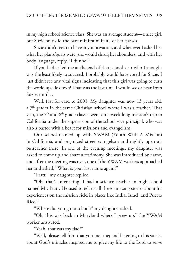in my high school science class. She was an average student—a nice girl, but Suzie only did the bare minimum in all of her classes.

Suzie didn't seem to have any motivation, and whenever I asked her what her plans/goals were, she would shrug her shoulders, and with her body language, reply, "I dunno."

If you had asked me at the end of that school year who I thought was the least likely to succeed, I probably would have voted for Suzie. I just didn't see any vital signs indicating that this girl was going to turn the world upside down! That was the last time I would see or hear from Suzie, until…

Well, fast forward to 2003. My daughter was now 13 years old, a  $7<sup>th</sup>$  grader in the same Christian school where I was a teacher. That year, the  $7<sup>th</sup>$  and  $8<sup>th</sup>$  grade classes went on a week-long mission's trip to California under the supervision of the school vice principal, who was also a pastor with a heart for missions and evangelism.

Our school teamed up with YWAM (Youth With A Mission) in California, and organized street evangelism and nightly open air outreaches there. In one of the evening meetings, my daughter was asked to come up and share a testimony. She was introduced by name, and after the meeting was over, one of the YWAM workers approached her and asked, "What is your last name again?"

"Pratt," my daughter replied.

"Oh, that's interesting. I had a science teacher in high school named Mr. Pratt. He used to tell us all these amazing stories about his experiences on the mission field in places like India, Israel, and Puerto Rico."

"Where did you go to school?" my daughter asked.

"Oh, this was back in Maryland where I grew up," the YWAM worker answered.

"Yeah, that was my dad!"

"Well, please tell him that you met me; and listening to his stories about God's miracles inspired me to give my life to the Lord to serve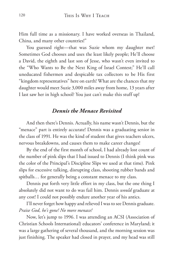Him full time as a missionary. I have worked overseas in Thailand, China, and many other countries!"

You guessed right—that was Suzie whom my daughter met! Sometimes God chooses and uses the least likely people; He'll choose a David, the eighth and last son of Jesse, who wasn't even invited to the "Who Wants to Be the Next King of Israel Contest;" He'll call uneducated fishermen and despicable tax collectors to be His first "kingdom representatives" here on earth! What are the chances that my daughter would meet Suzie 3,000 miles away from home, 13 years after I last saw her in high school? You just can't make this stuff up!

#### *Dennis the Menace Revisited*

And then there's Dennis. Actually, his name wasn't Dennis, but the "menace" part is entirely accurate! Dennis was a graduating senior in the class of 1991. He was the kind of student that gives teachers ulcers, nervous breakdowns, and causes them to make career changes!

By the end of the first month of school, I had already lost count of the number of pink slips that I had issued to Dennis (I think pink was the color of the Principal's Discipline Slips we used at that time). Pink slips for excessive talking, disrupting class, shooting rubber bands and spitballs… for generally being a constant menace to my class.

Dennis put forth very little effort in my class, but the one thing I absolutely did not want to do was fail him. Dennis *would* graduate at any cost! I could not possibly endure another year of his antics.

I'll never forget how happy and relieved I was to see Dennis graduate. *Praise God, he's gone! No more menace!*

Now, let's jump to 1996. I was attending an ACSI (Association of Christian Schools International) educators' conference in Maryland; it was a large gathering of several thousand, and the morning session was just finishing. The speaker had closed in prayer, and my head was still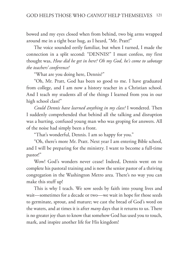bowed and my eyes closed when from behind, two big arms wrapped around me in a tight bear hug, as I heard, "Mr. Pratt!"

The voice sounded eerily familiar, but when I turned, I made the connection in a split second: "DENNIS!" I must confess, my first thought was, *How did he get in here? Oh my God, he's come to sabotage the teachers' conference!*

"What are you doing here, Dennis?"

"Oh, Mr. Pratt, God has been so good to me. I have graduated from college, and I am now a history teacher in a Christian school. And I teach my students all of the things I learned from you in our high school class!"

*Could Dennis have learned anything in my class?* I wondered. Then I suddenly comprehended that behind all the talking and disruption was a hurting, confused young man who was groping for answers. All of the noise had simply been a front.

"That's wonderful, Dennis. I am so happy for you."

"Oh, there's more Mr. Pratt. Next year I am entering Bible school, and I will be preparing for the ministry. I want to become a full-time pastor!"

Wow! God's wonders never cease! Indeed, Dennis went on to complete his pastoral training and is now the senior pastor of a thriving congregation in the Washington Metro area. There's no way you can make this stuff up!

This is why I teach. We sow seeds by faith into young lives and wait—sometimes for a decade or two—we wait in hope for those seeds to germinate, sprout, and mature; we cast the bread of God's word on the waters, and at times it is after *many* days that it returns to us. There is no greater joy than to know that somehow God has used you to touch, mark, and inspire another life for His kingdom!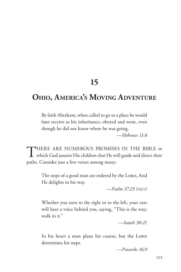# **15**

# **Ohio, America's Moving Adventure**

By faith Abraham, when called to go to a place he would later receive as his inheritance, obeyed and went, even though he did not know where he was going.

*—Hebrews 11:8*

THERE ARE NUMEROUS PROMISES IN THE BIBLE in which God assures His children that He will guide and direct their paths. Consider just a few verses among many:

> The steps of a good man are ordered by the LORD, And He delights in his way.

> > *—Psalm 37:23 (nkjv)*

Whether you turn to the right or to the left, your ears will hear a voice behind you, saying, "This is the way; walk in it."

*—Isaiah 30:21*

In his heart a man plans his course, but the LORD determines his steps.

*—Proverbs 16:9*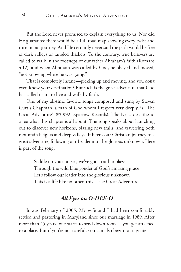But the Lord never promised to explain everything to us! Nor did He guarantee there would be a full road map showing every twist and turn in our journey. And He certainly never said the path would be free of dark valleys or tangled thickets! To the contrary, true believers are called to walk in the footsteps of our father Abraham's faith (Romans 4:12), and when Abraham was called by God, he obeyed and moved, "not knowing where he was going."

That is completely insane—picking up and moving, and you don't even know your destination? But such is the great adventure that God has called us to: to live and walk by faith.

One of my all-time favorite songs composed and sung by Steven Curtis Chapman, a man of God whom I respect very deeply, is "The Great Adventure" (©1992: Sparrow Records). The lyrics describe to a tee what this chapter is all about. The song speaks about launching out to discover new horizons, blazing new trails, and traversing both mountain heights and deep valleys. It likens our Christian journey to a great adventure, following our Leader into the glorious unknown. Here is part of the song:

> Saddle up your horses, we've got a trail to blaze Through the wild blue yonder of God's amazing grace Let's follow our leader into the glorious unknown This is a life like no other, this is the Great Adventure

### *All Eyes on O-HEE-O*

It was February of 2005. My wife and I had been comfortably settled and pastoring in Maryland since our marriage in 1989. After more than 15 years, one starts to send down roots… you get attached to a place. But if you're not careful, you can also begin to stagnate.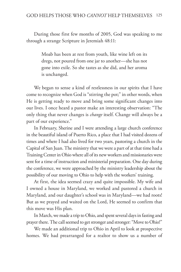During those first few months of 2005, God was speaking to me through a strange Scripture in Jeremiah 48:11:

> Moab has been at rest from youth, like wine left on its dregs, not poured from one jar to another—she has not gone into exile. So she tastes as she did, and her aroma is unchanged.

We began to sense a kind of restlessness in our spirits that I have come to recognize when God is "stirring the pot;" in other words, when He is getting ready to move and bring some significant changes into our lives. I once heard a pastor make an interesting observation: "The only thing that never changes is *change* itself. Change will always be a part of our experience."

In February, Sherine and I were attending a large church conference in the beautiful island of Puerto Rico, a place that I had visited dozens of times and where I had also lived for two years, pastoring a church in the Capital of San Juan. The ministry that we were a part of at that time had a Training Center in Ohio where all of its new workers and missionaries were sent for a time of instruction and ministerial preparation. One day during the conference, we were approached by the ministry leadership about the possibility of our moving to Ohio to help with the workers' training.

At first, the idea seemed crazy and quite impossible. My wife and I owned a house in Maryland, we worked and pastored a church in Maryland, and our daughter's school was in Maryland—we had roots! But as we prayed and waited on the Lord, He seemed to confirm that this move was His plan.

In March, we made a trip to Ohio, and spent several days in fasting and prayer there. The call seemed to get stronger and stronger: "Move to Ohio!"

We made an additional trip to Ohio in April to look at prospective homes. We had prearranged for a realtor to show us a number of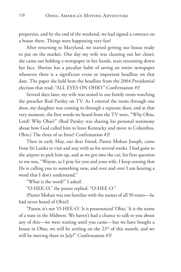properties, and by the end of the weekend, we had signed a contract on a house there. Things were happening very fast!

After returning to Maryland, we started getting our house ready to put on the market. One day my wife was cleaning out her closet; she came out holding a newspaper in her hands, tears streaming down her face. Sherine has a peculiar habit of saving an entire newspaper whenever there is a significant event or important headline on that date. The paper she held bore the headline from the 2004 Presidential election that read: "ALL EYES ON OHIO." Confirmation #1!

Several days later, my wife was seated in our family room watching the preacher Rod Parsley on TV. As I entered the room through one door, my daughter was coming in through a separate door, and at that very moment, the first words we heard from the TV were, "Why Ohio, Lord? Why Ohio?" (Rod Parsley was sharing his personal testimony about how God called him to leave Kentucky and move to Columbus, Ohio.) The three of us froze! Confirmation #2!

Then in early May, our dear friend, Pastor Mohan Joseph, came from Sri Lanka to visit and stay with us for several weeks. I had gone to the airport to pick him up, and as we got into the car, his first question to me was, "Wayne, as I pray for you and your wife, I keep sensing that He is calling you to something new, and over and over I am hearing a word that I don't understand."

"What is the word?" I asked.

"O-HEE-O," the pastor replied. "O-HEE-O."

(Pastor Mohan was not familiar with the names of all 50 states—he had never heard of Ohio!)

"Pastor, it's not 'O-HEE-O.' It is pronounced 'Ohio.' It is the name of a state in the Midwest. We haven't had a chance to talk to you about any of this—we were waiting until you came—but we have bought a house in Ohio, we will be settling on the  $23<sup>rd</sup>$  of this month, and we will be moving there in July!" Confirmation #3!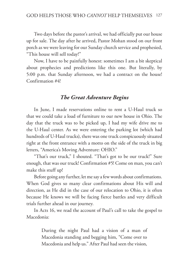Two days before the pastor's arrival, we had officially put our house up for sale. The day after he arrived, Pastor Mohan stood on our front porch as we were leaving for our Sunday church service and prophesied, "This house will sell today!"

Now, I have to be painfully honest: sometimes I am a bit skeptical about prophecies and predictions like this one. But literally, by 5:00 p.m. that Sunday afternoon, we had a contract on the house! Confirmation #4!

#### *The Great Adventure Begins*

In June, I made reservations online to rent a U-Haul truck so that we could take a load of furniture to our new house in Ohio. The day that the truck was to be picked up, I had my wife drive me to the U-Haul center. As we were entering the parking lot (which had hundreds of U-Haul trucks), there was one truck conspicuously situated right at the front entrance with a motto on the side of the truck in big letters, "America's Moving Adventure: OHIO."

"That's our truck," I shouted. "That's got to be our truck!" Sure enough, that was our truck! Confirmation #5! Come on man, you can't make this stuff up!

Before going any further, let me say a few words about confirmations. When God gives so many clear confirmations about His will and direction, as He did in the case of our relocation to Ohio, it is often because He knows we will be facing fierce battles and very difficult trials further ahead in our journey.

In Acts 16, we read the account of Paul's call to take the gospel to Macedonia:

> During the night Paul had a vision of a man of Macedonia standing and begging him, "Come over to Macedonia and help us." After Paul had seen the vision,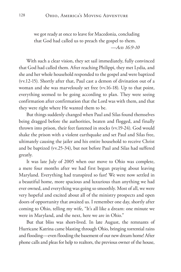we got ready at once to leave for Macedonia, concluding that God had called us to preach the gospel to them. *—Acts 16:9-10*

With such a clear vision, they set sail immediately, fully convinced that God had called them. After reaching Philippi, they met Lydia, and she and her whole household responded to the gospel and were baptized (vv.12-15). Shortly after that, Paul cast a demon of divination out of a woman and she was marvelously set free (vv.16-18). Up to that point, everything seemed to be going according to plan. They were seeing confirmation after confirmation that the Lord was with them, and that they were right where He wanted them to be.

But things suddenly changed when Paul and Silas found themselves being dragged before the authorities, beaten and flogged, and finally thrown into prison, their feet fastened in stocks (vv.19-24). God would shake the prison with a violent earthquake and set Paul and Silas free, ultimately causing the jailer and his entire household to receive Christ and be baptized (vv.25-34), but not before Paul and Silas had suffered greatly.

It was late July of 2005 when our move to Ohio was complete, a mere four months after we had first begun praying about leaving Maryland. Everything had transpired so fast! We were now settled in a beautiful home, more spacious and luxurious than anything we had ever owned, and everything was going so smoothly. Most of all, we were very hopeful and excited about all of the ministry prospects and open doors of opportunity that awaited us. I remember one day, shortly after coming to Ohio, telling my wife, "It's all like a dream: one minute we were in Maryland, and the next, here we are in Ohio."

But that bliss was short-lived. In late August, the remnants of Hurricane Katrina came blasting through Ohio, bringing torrential rains and flooding—even flooding the basement of our new dream home! After phone calls and pleas for help to realtors, the previous owner of the house,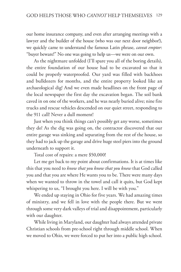our home insurance company, and even after arranging meetings with a lawyer and the builder of the house (who was our next door neighbor!), we quickly came to understand the famous Latin phrase, *caveat emptor*: "buyer beware!" No one was going to help us—we were on our own.

As the nightmare unfolded (I'll spare you all of the boring details), the entire foundation of our house had to be excavated so that it could be properly waterproofed. Our yard was filled with backhoes and bulldozers for months, and the entire property looked like an archaeological dig! And we even made headlines on the front page of the local newspaper the first day the excavation began. The soil bank caved in on one of the workers, and he was nearly buried alive; nine fire trucks and rescue vehicles descended on our quiet street, responding to the 911 call! Never a dull moment!

Just when you think things can't possibly get any worse, sometimes they do! As the dig was going on, the contractor discovered that our entire garage was sinking and separating from the rest of the house, so they had to jack up the garage and drive huge steel piers into the ground underneath to support it.

Total cost of repairs: a mere \$50,000!

Let me get back to my point about confirmations. It is at times like this that you need to *know that you know that you know* that God called you and that you are where He wants you to be. There were many days when we wanted to throw in the towel and call it quits, but God kept whispering to us, "I brought you here. I will be with you."

We ended up staying in Ohio for five years. We had amazing times of ministry, and we fell in love with the people there. But we went through some very dark valleys of trial and disappointment, particularly with our daughter.

While living in Maryland, our daughter had always attended private Christian schools from pre-school right through middle school. When we moved to Ohio, we were forced to put her into a public high school.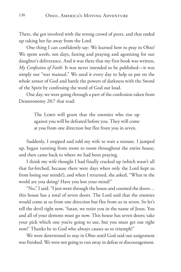There, she got involved with the wrong crowd of peers, and that ended up taking her far away from the Lord.

One thing I can confidently say: We learned how to pray in Ohio! We spent *weeks*, not days, fasting and praying and agonizing for our daughter's deliverance. And it was there that my first book was written, *My Confession of Faith*. It was never intended to be published—it was simply our "war manual." We used it every day to help us put on the whole armor of God and battle the powers of darkness with the Sword of the Spirit by confessing the word of God out loud.

One day, we were going through a part of the confession taken from Deuteronomy 28:7 that read:

> The Lord will grant that the enemies who rise up against you will be defeated before you. They will come at you from one direction but flee from you in seven.

Suddenly, I stopped and told my wife to wait a minute. I jumped up, began running from room to room throughout the entire house, and then came back to where we had been praying.

I think my wife thought I had finally cracked up (which wasn't all that far-fetched, because there were days when only the Lord kept us from losing our minds!), and when I returned, she asked, "What in the world are you doing? Have you lost your mind?"

"No," I said. "I just went through the house and counted the doors… this house has a total of seven doors. The Lord said that the enemies would come at us from one direction but flee from us in seven. So let's tell the devil right now, 'Satan, we resist you in the name of Jesus. You and all of your demons must go now. This house has seven doors; take your pick which one you're going to use, but you must get out right now!' Thanks be to God who always causes us to triumph!"

We were determined to stay in Ohio until God said our assignment was finished. We were not going to run away in defeat or discouragement.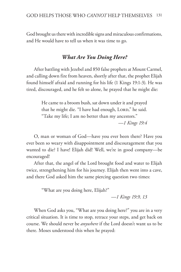God brought us there with incredible signs and miraculous confirmations, and He would have to tell us when it was time to go.

### *What Are You Doing Here?*

After battling with Jezebel and 850 false prophets at Mount Carmel, and calling down fire from heaven, shortly after that, the prophet Elijah found himself afraid and running for his life (1 Kings 19:1-3). He was tired, discouraged, and he felt so alone, he prayed that he might die:

> He came to a broom bush, sat down under it and prayed that he might die. "I have had enough, LORD," he said. "Take my life; I am no better than my ancestors."

> > *—1 Kings 19:4*

O, man or woman of God—have you ever been there? Have you ever been so weary with disappointment and discouragement that you wanted to die? I have! Elijah did! Well, we're in good company—be encouraged!

After that, the angel of the Lord brought food and water to Elijah twice, strengthening him for his journey. Elijah then went into a cave, and there God asked him the same piercing question two times:

"What are you doing here, Elijah?"

*—1 Kings 19:9, 13*

When God asks you, "What are you doing here?" you are in a very critical situation. It is time to stop, retrace your steps, and get back on course. We should never be *anywhere* if the Lord doesn't want us to be there. Moses understood this when he prayed: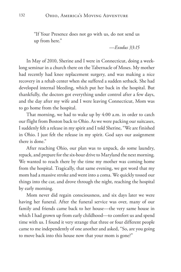"If Your Presence does not go with us, do not send us up from here."

*—Exodus 33:15*

In May of 2010, Sherine and I were in Connecticut, doing a weeklong seminar in a church there on the Tabernacle of Moses. My mother had recently had knee replacement surgery, and was making a nice recovery in a rehab center when she suffered a sudden setback. She had developed internal bleeding, which put her back in the hospital. But thankfully, the doctors got everything under control after a few days, and the day after my wife and I were leaving Connecticut, Mom was to go home from the hospital.

That morning, we had to wake up by 4:00 a.m. in order to catch our flight from Boston back to Ohio. As we were packing our suitcases, I suddenly felt a release in my spirit and I told Sherine, "We are finished in Ohio. I just felt the release in my spirit. God says our assignment there is done."

After reaching Ohio, our plan was to unpack, do some laundry, repack, and prepare for the six-hour drive to Maryland the next morning. We wanted to reach there by the time my mother was coming home from the hospital. Tragically, that same evening, we got word that my mom had a massive stroke and went into a coma. We quickly tossed our things into the car, and drove through the night, reaching the hospital by early morning.

Mom never did regain consciousness, and six days later we were having her funeral. After the funeral service was over, many of our family and friends came back to her house—the very same house in which I had grown up from early childhood—to comfort us and spend time with us. I found it very strange that three or four different people came to me independently of one another and asked, "So, are you going to move back into this house now that your mom is gone?"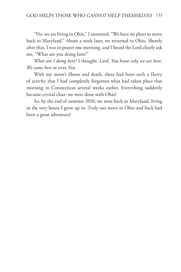"No, we are living in Ohio," I answered. "We have no plans to move back to Maryland." About a week later, we returned to Ohio. Shortly after that, I was in prayer one morning, and I heard the Lord clearly ask me, "What are you doing here?"

*What am I doing here?* I thought. *Lord, You know why we are here. We came here to serve You.*

With my mom's illness and death, there had been such a flurry of activity that I had completely forgotten what had taken place that morning in Connecticut several weeks earlier. Everything suddenly became crystal clear: we were done with Ohio!

So, by the end of summer 2010, we were back in Maryland, living in the very house I grew up in. Truly our move to Ohio and back had been a great adventure!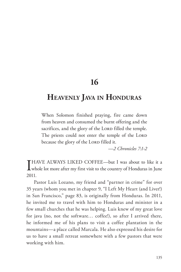**16**

## **Heavenly Java in Honduras**

When Solomon finished praying, fire came down from heaven and consumed the burnt offering and the sacrifices, and the glory of the LORD filled the temple. The priests could not enter the temple of the LORD because the glory of the LORD filled it.

*—2 Chronicles 7:1-2*

I HAVE ALWAYS LIKED COFFEE—but I was about to like it a whole lot more after my first visit to the country of Honduras in June 2011.

Pastor Luis Lozano, my friend and "partner in crime" for over 35 years (whom you met in chapter 9, "I Left My Heart (and Liver!) in San Francisco," page 83, is originally from Honduras. In 2011, he invited me to travel with him to Honduras and minister in a few small churches that he was helping. Luis knew of my great love for java (no, not the software… coffee!), so after I arrived there, he informed me of his plans to visit a coffee plantation in the mountains—a place called Marcala. He also expressed his desire for us to have a small retreat somewhere with a few pastors that were working with him.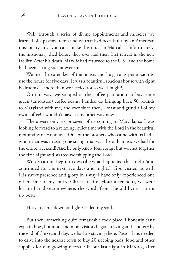Well, through a series of divine appointments and miracles, we learned of a pastors' retreat house that had been built by an American missionary in… you can't make this up… in Marcala! Unfortunately, the missionary died before they ever had their first retreat in the new facility. After his death, his wife had returned to the U.S., and the home had been sitting vacant ever since.

We met the caretaker of the house, and he gave us permission to use the house for five days. It was a beautiful, spacious house with eight bedrooms… more than we needed (or so we thought!)

On our way, we stopped at the coffee plantation to buy some green (unroasted) coffee beans. I ended up bringing back 50 pounds to Maryland with me, and ever since then, I roast and grind all of my own coffee! I wouldn't have it any other way now.

There were only six or seven of us coming to Marcala, so I was looking forward to a relaxing, quiet time with the Lord in the beautiful mountains of Honduras. One of the brothers who came with us had a guitar that was missing one string: that was the only music we had for the entire weekend! And he only knew four songs, but we met together the first night and started worshipping the Lord.

Words cannot begin to describe what happened that night (and continued for the next five days and nights): God visited us with His sweet presence and glory in a way I have only experienced one other time in my entire Christian life. Hour after hour, we were lost in Paradise somewhere; the words from the old hymn sum it up best:

Heaven came down and glory filled my soul.

But then, something quite remarkable took place. I honestly can't explain how, but more and more visitors began arriving at the house; by the end of the second day, we had 25 staying there. Pastor Luis needed to drive into the nearest town to buy 20 sleeping pads, food and other supplies for our growing retreat! On our last night in Marcala, after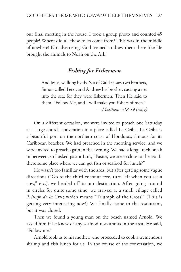our final meeting in the house, I took a group photo and counted 45 people! Where did all these folks come from? This was in the middle of nowhere! No advertising! God seemed to draw them there like He brought the animals to Noah on the Ark!

## *Fishing for Fishermen*

And Jesus, walking by the Sea of Galilee, saw two brothers, Simon called Peter, and Andrew his brother, casting a net into the sea; for they were fishermen. Then He said to them, "Follow Me, and I will make you fishers of men." *—Matthew 4:18-19 (nkjv)*

On a different occasion, we were invited to preach one Saturday at a large church convention in a place called La Ceiba. La Ceiba is a beautiful port on the northern coast of Honduras, famous for its Caribbean beaches. We had preached in the morning service, and we were invited to preach again in the evening. We had a long lunch break in between, so I asked pastor Luis, "Pastor, we are so close to the sea. Is there some place where we can get fish or seafood for lunch?"

He wasn't too familiar with the area, but after getting some vague directions ("Go to the third coconut tree, turn left when you see a cow," etc.), we headed off to our destination. After going around in circles for quite some time, we arrived at a small village called *Triunfo de la Cruz* which means "Triumph of the Cross!" (This is getting very interesting now!) We finally came to the restaurant, but it was closed.

Then we found a young man on the beach named Arnold. We asked him if he knew of any seafood restaurants in the area. He said, "Follow me."

Arnold took us to his mother, who proceeded to cook a tremendous shrimp and fish lunch for us. In the course of the conversation, we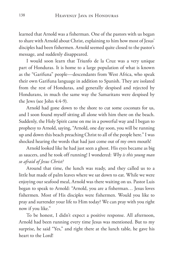learned that Arnold was a fisherman. One of the pastors with us began to share with Arnold about Christ, explaining to him how most of Jesus' disciples had been fishermen. Arnold seemed quite closed to the pastor's message, and suddenly disappeared.

I would soon learn that Triunfo de la Cruz was a very unique part of Honduras. It is home to a large population of what is known as the "Garifuna" people—descendants from West Africa, who speak their own Garifuna language in addition to Spanish. They are isolated from the rest of Honduras, and generally despised and rejected by Hondurans, in much the same way the Samaritans were despised by the Jews (see John 4:4-9).

Arnold had gone down to the shore to cut some coconuts for us, and I soon found myself sitting all alone with him there on the beach. Suddenly, the Holy Spirit came on me in a powerful way and I began to prophesy to Arnold, saying, "Arnold, one day soon, you will be running up and down this beach preaching Christ to all of the people here." I was shocked hearing the words that had just come out of my own mouth!

Arnold looked like he had just seen a ghost. His eyes became as big as saucers, and he took off running! I wondered: *Why is this young man so afraid of Jesus Christ?*

Around that time, the lunch was ready, and they called us to a little hut made of palm leaves where we sat down to eat. While we were enjoying our seafood meal, Arnold was there waiting on us. Pastor Luis began to speak to Arnold: "Arnold, you are a fisherman… Jesus loves fishermen. Most of His disciples were fishermen. Would you like to pray and surrender your life to Him today? We can pray with you right now if you like."

To be honest, I didn't expect a positive response. All afternoon, Arnold had been running every time Jesus was mentioned. But to my surprise, he said "Yes," and right there at the lunch table, he gave his heart to the Lord!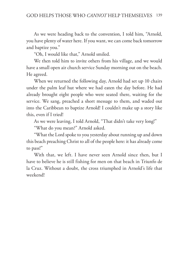As we were heading back to the convention, I told him, "Arnold, you have plenty of water here. If you want, we can come back tomorrow and baptize you."

"Oh, I would like that," Arnold smiled.

We then told him to invite others from his village, and we would have a small open air church service Sunday morning out on the beach. He agreed.

When we returned the following day, Arnold had set up 10 chairs under the palm leaf hut where we had eaten the day before. He had already brought eight people who were seated there, waiting for the service. We sang, preached a short message to them, and waded out into the Caribbean to baptize Arnold! I couldn't make up a story like this, even if I tried!

As we were leaving, I told Arnold, "That didn't take very long!"

"What do you mean?" Arnold asked.

"What the Lord spoke to you yesterday about running up and down this beach preaching Christ to all of the people here: it has already come to pass!"

With that, we left. I have never seen Arnold since then, but I have to believe he is still fishing for men on that beach in Triunfo de la Cruz. Without a doubt, the cross triumphed in Arnold's life that weekend!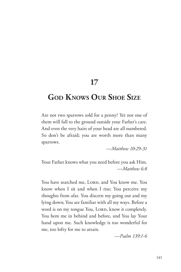## **17**

# **God Knows Our Shoe Size**

Are not two sparrows sold for a penny? Yet not one of them will fall to the ground outside your Father's care. And even the very hairs of your head are all numbered. So don't be afraid; you are worth more than many sparrows.

*—Matthew 10:29-31*

Your Father knows what you need before you ask Him. *—Matthew 6:8*

You have searched me, LORD, and You know me. You know when I sit and when I rise; You perceive my thoughts from afar. You discern my going out and my lying down; You are familiar with all my ways. Before a word is on my tongue You, LORD, know it completely. You hem me in behind and before, and You lay Your hand upon me. Such knowledge is too wonderful for me, too lofty for me to attain.

*—Psalm 139:1-6*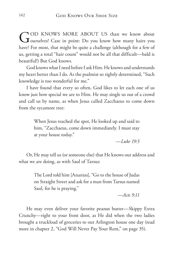GOD KNOWS MORE ABOUT US than we know about Just case in point: Do you know how many hairs you have? For most, that might be quite a challenge (although for a few of us, getting a total "hair count" would not be all that difficult—bald is beautiful!) But God knows.

God knows what I need before I ask Him. He knows and understands my heart better than I do. As the psalmist so rightly determined, "Such knowledge is too wonderful for me."

I have found that every so often, God likes to let each one of us know just how special we are to Him. He may single us out of a crowd and call us by name, as when Jesus called Zacchaeus to come down from the sycamore tree:

> When Jesus reached the spot, He looked up and said to him, "Zacchaeus, come down immediately. I must stay at your house today."

> > *—Luke 19:5*

Or, He may tell us (or someone else) that He knows our address and what we are doing, as with Saul of Tarsus:

> The Lord told him [Ananias], "Go to the house of Judas on Straight Street and ask for a man from Tarsus named Saul, for he is praying."

> > *—Acts 9:11*

He may even deliver your favorite peanut butter—Skippy Extra Crunchy—right to your front door, as He did when the two ladies brought a truckload of groceries to our Arlington house one day (read more in chapter 2, "God Will Never Pay Your Rent," on page 35).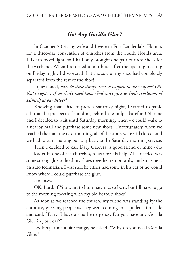## *Got Any Gorilla Glue?*

In October 2014, my wife and I were in Fort Lauderdale, Florida, for a three-day convention of churches from the South Florida area. I like to travel light, so I had only brought one pair of dress shoes for the weekend. When I returned to our hotel after the opening meeting on Friday night, I discovered that the sole of my shoe had completely separated from the rest of the shoe!

I questioned, *why do these things seem to happen to me so often? Oh, that's right… if we don't need help, God can't give us fresh revelation of Himself as our helper!*

Knowing that I had to preach Saturday night, I started to panic a bit at the prospect of standing behind the pulpit barefoot! Sherine and I decided to wait until Saturday morning, when we could walk to a nearby mall and purchase some new shoes. Unfortunately, when we reached the mall the next morning, all of the stores were still closed, and we had to start making our way back to the Saturday morning service.

Then I decided to call Dary Cabrera, a good friend of mine who is a leader in one of the churches, to ask for his help. All I needed was some strong glue to hold my shoes together temporarily, and since he is an auto technician, I was sure he either had some in his car or he would know where I could purchase the glue.

No answer…

OK, Lord, if You want to humiliate me, so be it, but I'll have to go to the morning meeting with my old beat-up shoes!

As soon as we reached the church, my friend was standing by the entrance, greeting people as they were coming in. I pulled him aside and said, "Dary, I have a small emergency. Do you have any Gorilla Glue in your car?"

Looking at me a bit strange, he asked, "Why do you need Gorilla Glue?"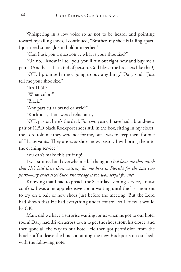Whispering in a low voice so as not to be heard, and pointing toward my ailing shoes, I continued, "Brother, my shoe is falling apart. I just need some glue to hold it together."

"Can I ask you a question… what is your shoe size?"

"Oh no, I know if I tell you, you'll run out right now and buy me a pair!" (And he is that kind of person. God bless true brothers like that!)

"OK. I promise I'm not going to buy anything," Dary said. "Just tell me your shoe size."

"It's 11.5D."

"What color?"

"Black."

"Any particular brand or style?"

"Rockport," I answered reluctantly.

"OK, pastor, here's the deal. For two years, I have had a brand-new pair of 11.5D black Rockport shoes still in the box, sitting in my closet; the Lord told me they were not for me, but I was to keep them for one of His servants. They are *your* shoes now, pastor. I will bring them to the evening service."

You can't make this stuff up!

I was stunned and overwhelmed. I thought, *God loves me that much that He's had these shoes waiting for me here in Florida for the past two years—my exact size! Such knowledge is too wonderful for me!*

Knowing that I had to preach the Saturday evening service, I must confess, I was a bit apprehensive about waiting until the last moment to try on a pair of new shoes just before the meeting. But the Lord had shown that He had everything under control, so I knew it would be OK.

Man, did we have a surprise waiting for us when he got to our hotel room! Dary had driven across town to get the shoes from his closet, and then gone all the way to our hotel. He then got permission from the hotel staff to leave the box containing the new Rockports on our bed, with the following note: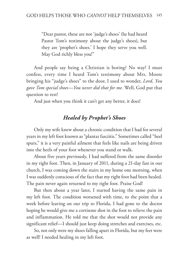"Dear pastor, these are not 'judge's shoes' (he had heard Pastor Tom's testimony about the judge's shoes), but they are 'prophet's shoes.' I hope they serve you well. May God richly bless you!"

And people say being a Christian is boring? No way! I must confess, every time I heard Tom's testimony about Mrs. Moore bringing his "judge's shoes" to the door, I used to wonder, *Lord, You gave Tom special shoes—You never did that for me.* Well, God put that question to rest!

And just when you think it can't get any better, it does!

## *Healed by Prophet's Shoes*

Only my wife knew about a chronic condition that I had for several years in my left foot known as "plantar fasciitis." Sometimes called "heel spurs," it is a very painful ailment that feels like nails are being driven into the heels of your foot whenever you stand or walk.

About five years previously, I had suffered from the same disorder in my right foot. Then, in January of 2011, during a 21-day fast in our church, I was coming down the stairs in my home one morning, when I was suddenly conscious of the fact that my right foot had been healed. The pain never again returned to my right foot. Praise God!

But then about a year later, I started having the same pain in my left foot. The condition worsened with time, to the point that a week before leaving on our trip to Florida, I had gone to the doctor hoping he would give me a cortisone shot in the foot to relieve the pain and inflammation. He told me that the shot would not provide any significant relief—I should just keep doing stretches and exercises, etc.

So, not only were my shoes falling apart in Florida, but my feet were as well! I needed healing in my left foot.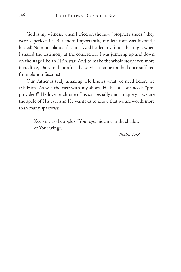God is my witness, when I tried on the new "prophet's shoes," they were a perfect fit. But more importantly, my left foot was instantly healed! No more plantar fasciitis! God healed my foot! That night when I shared the testimony at the conference, I was jumping up and down on the stage like an NBA star! And to make the whole story even more incredible, Dary told me after the service that he too had once suffered from plantar fasciitis!

Our Father is truly amazing! He knows what we need before we ask Him. As was the case with my shoes, He has all our needs "preprovided!" He loves each one of us so specially and uniquely—we are the apple of His eye, and He wants us to know that we are worth more than many sparrows:

> Keep me as the apple of Your eye; hide me in the shadow of Your wings.

> > *—Psalm 17:8*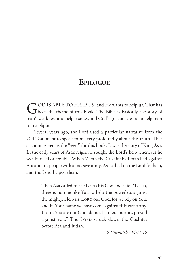## **Epilogue**

GOD IS ABLE TO HELP US, and He wants to help us. That has been the theme of this book. The Bible is basically the story of man's weakness and helplessness, and God's gracious desire to help man in his plight.

Several years ago, the Lord used a particular narrative from the Old Testament to speak to me very profoundly about this truth. That account served as the "seed" for this book. It was the story of King Asa. In the early years of Asa's reign, he sought the Lord's help whenever he was in need or trouble. When Zerah the Cushite had marched against Asa and his people with a massive army, Asa called on the Lord for help, and the Lord helped them:

> Then Asa called to the LORD his God and said, "LORD, there is no one like You to help the powerless against the mighty. Help us, LORD our God, for we rely on You, and in Your name we have come against this vast army. LORD, You are our God; do not let mere mortals prevail against you." The LORD struck down the Cushites before Asa and Judah.

> > *—2 Chronicles 14:11-12*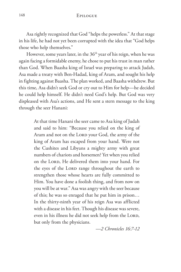## 148 Epilogue

Asa rightly recognized that God "helps the powerless." At that stage in his life, he had not yet been corrupted with the idea that "God helps those who help themselves."

However, some years later, in the 36<sup>th</sup> year of his reign, when he was again facing a formidable enemy, he chose to put his trust in man rather than God. When Baasha king of Israel was preparing to attack Judah, Asa made a treaty with Ben-Hadad, king of Aram, and sought his help in fighting against Baasha. The plan worked, and Baasha withdrew. But this time, Asa didn't seek God or cry out to Him for help—he decided he could help himself. He didn't need God's help. But God was very displeased with Asa's actions, and He sent a stern message to the king through the seer Hanani:

> At that time Hanani the seer came to Asa king of Judah and said to him: "Because you relied on the king of Aram and not on the LORD your God, the army of the king of Aram has escaped from your hand. Were not the Cushites and Libyans a mighty army with great numbers of chariots and horsemen? Yet when you relied on the LORD, He delivered them into your hand. For the eyes of the LORD range throughout the earth to strengthen those whose hearts are fully committed to Him. You have done a foolish thing, and from now on you will be at war." Asa was angry with the seer because of this; he was so enraged that he put him in prison… In the thirty-ninth year of his reign Asa was afflicted with a disease in his feet. Though his disease was severe, even in his illness he did not seek help from the LORD, but only from the physicians.

> > *—2 Chronicles 16:7-12*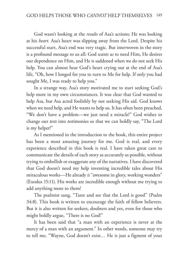God wasn't looking at the *results* of Asa's actions; He was looking at his *heart*. Asa's heart was slipping away from the Lord. Despite his successful start, Asa's end was very tragic. But interwoven in the story is a profound message to us all: God *wants us* to need Him, He desires our dependence on Him, and He is saddened when we do not seek His help. You can almost hear God's heart crying out at the end of Asa's life, "Oh, how I longed for you to turn to Me for help. If only you had sought Me, I was ready to help you."

In a strange way, Asa's story motivated me to start seeking God's help more in my own circumstances. It was clear that God wanted to help Asa, but Asa acted foolishly by not seeking His aid. God knows when we need help, and He wants to help us. It has often been preached, "We don't have a problem—we just need a miracle!" God wishes to change our *tests* into *test*imonies so that we can boldly say, "The Lord is my helper!"

As I mentioned in the introduction to the book, this entire project has been a most amazing journey for me. God is real, and every experience described in this book is real. I have taken great care to communicate the details of each story as accurately as possible, without trying to embellish or exaggerate any of the narratives. I have discovered that God doesn't need my help inventing incredible tales about His miraculous works—He already *is* "awesome in glory, working wonders" (Exodus 15:11). His works are incredible enough without me trying to add anything more to them!

The psalmist sang, "Taste and see that the Lord is good" (Psalm 34:8). This book is written to encourage the faith of fellow believers. But it is also written for seekers, doubters and yes, even for those who might boldly argue, "There is no God!"

It has been said that "a man with an experience is never at the mercy of a man with an argument." In other words, someone may try to tell me, "Wayne, God doesn't exist… He is just a figment of your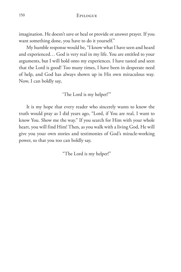150 Epilogue

imagination. He doesn't save or heal or provide or answer prayer. If you want something done, you have to do it yourself."

My humble response would be, "I know what I have seen and heard and experienced… God is very real in my life. You are entitled to your arguments, but I will hold onto my experiences. I have tasted and seen that the Lord is good! Too many times, I have been in desperate need of help, and God has always shown up in His own miraculous way. Now, I can boldly say,

'The Lord is my helper!'"

It is my hope that every reader who sincerely wants to know the truth would pray as I did years ago, "Lord, if You are real, I want to know You. Show me the way." If you search for Him with your whole heart, you will find Him! Then, as you walk with a living God, He will give you your own stories and testimonies of God's miracle-working power, so that you too can boldly say,

"The Lord is my helper!"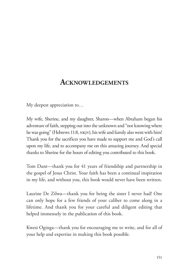## **Acknowledgements**

My deepest appreciation to…

My wife, Sherine, and my daughter, Sharon—when Abraham began his adventure of faith, stepping out into the unknown and "not knowing where he was going" (Hebrews 11:8, NKJV), his wife and family also went with him! Thank you for the sacrifices you have made to support me and God's call upon my life, and to accompany me on this amazing journey. And special thanks to Sherine for the hours of editing you contributed to this book.

Tom Dant—thank you for 41 years of friendship and partnership in the gospel of Jesus Christ. Your faith has been a continual inspiration in my life, and without you, this book would never have been written.

Laurine De Zilwa—thank you for being the sister I never had! One can only hope for a few friends of your caliber to come along in a lifetime. And thank you for your careful and diligent editing that helped immensely in the publication of this book.

Kwesi Oginga—thank you for encouraging me to write, and for all of your help and expertise in making this book possible.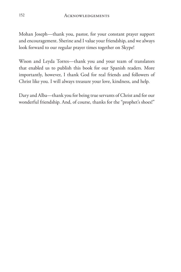Mohan Joseph—thank you, pastor, for your constant prayer support and encouragement. Sherine and I value your friendship, and we always look forward to our regular prayer times together on Skype!

Wison and Leyda Torres—thank you and your team of translators that enabled us to publish this book for our Spanish readers. More importantly, however, I thank God for real friends and followers of Christ like you. I will always treasure your love, kindness, and help.

Dary and Alba—thank you for being true servants of Christ and for our wonderful friendship. And, of course, thanks for the "prophet's shoes!"